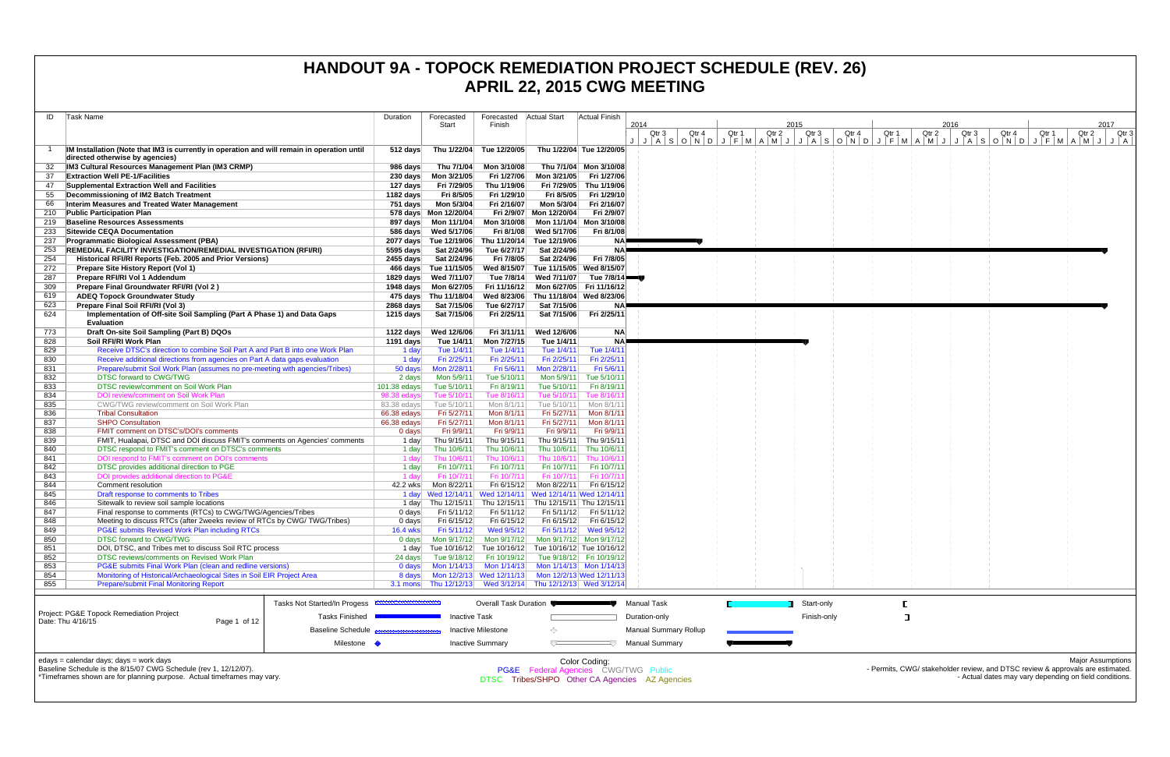| ID         | Task Name                                                                                                                                   | Duration                   | Forecasted                                        | Forecasted                                                               | <b>Actual Start</b>                                               | <b>Actual Finish</b>                  |                                                 |       |                |       |                |       |                                                                                                                                          |
|------------|---------------------------------------------------------------------------------------------------------------------------------------------|----------------------------|---------------------------------------------------|--------------------------------------------------------------------------|-------------------------------------------------------------------|---------------------------------------|-------------------------------------------------|-------|----------------|-------|----------------|-------|------------------------------------------------------------------------------------------------------------------------------------------|
|            |                                                                                                                                             |                            | Start                                             | Finish                                                                   |                                                                   |                                       | 2014                                            |       | 2015           |       |                | 2016  | 2017                                                                                                                                     |
|            |                                                                                                                                             |                            |                                                   |                                                                          |                                                                   |                                       | Qtr <sub>3</sub><br>Qtr 4                       | Qtr 1 | Qtr 2<br>Qtr 3 | Qtr 4 | Qtr 1<br>Qtr 2 | Qtr 3 | Qtr 4<br>Qtr 1<br>Qtr 2<br>Qtr 3                                                                                                         |
|            | IM Installation (Note that IM3 is currently in operation and will remain in operation until                                                 | 512 days                   | Thu 1/22/04                                       | Tue 12/20/05                                                             | Thu 1/22/04 Tue 12/20/05                                          |                                       |                                                 |       |                |       |                |       |                                                                                                                                          |
|            | directed otherwise by agencies)                                                                                                             |                            |                                                   |                                                                          |                                                                   |                                       |                                                 |       |                |       |                |       |                                                                                                                                          |
| 37         | IM3 Cultural Resources Management Plan (IM3 CRMP)<br><b>Extraction Well PE-1/Facilities</b>                                                 | 986 days                   | Thu 7/1/04                                        | Mon 3/10/08<br>Fri 1/27/06                                               | Mon 3/21/05                                                       | Thu 7/1/04 Mon 3/10/08<br>Fri 1/27/06 |                                                 |       |                |       |                |       |                                                                                                                                          |
| 47         | Supplemental Extraction Well and Facilities                                                                                                 | 127 days                   | Fri 7/29/05                                       | Thu 1/19/06                                                              | Fri 7/29/05                                                       | Thu 1/19/06                           |                                                 |       |                |       |                |       |                                                                                                                                          |
| 55         | Decommissioning of IM2 Batch Treatment                                                                                                      | 1182 days                  | Fri 8/5/05                                        | Fri 1/29/10                                                              | Fri 8/5/05                                                        | Fri 1/29/10                           |                                                 |       |                |       |                |       |                                                                                                                                          |
| 66         | Interim Measures and Treated Water Management                                                                                               | 751 days                   | Mon 5/3/04                                        | Fri 2/16/07                                                              | Mon 5/3/04                                                        | Fri 2/16/07                           |                                                 |       |                |       |                |       |                                                                                                                                          |
| 210        | <b>Public Participation Plan</b>                                                                                                            |                            | 578 days Mon 12/20/04                             |                                                                          | Fri 2/9/07 Mon 12/20/04                                           | Fri 2/9/07                            |                                                 |       |                |       |                |       |                                                                                                                                          |
| 219        | <b>Baseline Resources Assessments</b>                                                                                                       |                            |                                                   | Mon 3/10/08                                                              | Mon 11/1/04                                                       | Mon 3/10/08                           |                                                 |       |                |       |                |       |                                                                                                                                          |
| 233<br>237 | <b>Sitewide CEQA Documentation</b><br><b>Programmatic Biological Assessment (PBA)</b>                                                       |                            | 586 days Wed 5/17/06<br>2077 days Tue 12/19/06    | Fri 8/1/08                                                               | Wed 5/17/06<br>Thu 11/20/14 Tue 12/19/06                          | Fri 8/1/08                            | NAP                                             |       |                |       |                |       |                                                                                                                                          |
| 253        | <b>REMEDIAL FACILITY INVESTIGATION/REMEDIAL INVESTIGATION (RFI/RI)</b>                                                                      | 5595 days                  | Sat 2/24/96                                       | Tue 6/27/17                                                              | Sat 2/24/96                                                       |                                       | NA⊫                                             |       |                |       |                |       |                                                                                                                                          |
| 254        | Historical RFI/RI Reports (Feb. 2005 and Prior Versions)                                                                                    | 2455 days                  | Sat 2/24/96                                       | Fri 7/8/05                                                               | Sat 2/24/96                                                       | Fri 7/8/05                            |                                                 |       |                |       |                |       |                                                                                                                                          |
| 272        | Prepare Site History Report (Vol 1)                                                                                                         |                            | 466 days Tue 11/15/05                             | Wed 8/15/07                                                              | Tue 11/15/05 Wed 8/15/07                                          |                                       |                                                 |       |                |       |                |       |                                                                                                                                          |
| 287        | Prepare RFI/RI Vol 1 Addendum                                                                                                               | 1829 days                  | Wed 7/11/07                                       | Tue 7/8/14                                                               | Wed 7/11/07                                                       | Tue $7/8/14$                          |                                                 |       |                |       |                |       |                                                                                                                                          |
| 309<br>619 | Prepare Final Groundwater RFI/RI (Vol 2)<br><b>ADEQ Topock Groundwater Study</b>                                                            |                            | 1948 days    Mon 6/27/05<br>475 days Thu 11/18/04 | Wed 8/23/06                                                              | Fri 11/16/12 Mon 6/27/05 Fri 11/16/12<br>Thu 11/18/04 Wed 8/23/06 |                                       |                                                 |       |                |       |                |       |                                                                                                                                          |
| 623        | Prepare Final Soil RFI/RI (Vol 3)                                                                                                           | 2868 days                  | Sat 7/15/06                                       | Tue 6/27/17                                                              | Sat 7/15/06                                                       |                                       |                                                 |       |                |       |                |       |                                                                                                                                          |
| 624        | Implementation of Off-site Soil Sampling (Part A Phase 1) and Data Gaps                                                                     | 1215 days                  | Sat 7/15/06                                       | Fri 2/25/11                                                              | Sat 7/15/06                                                       | Fri 2/25/11                           |                                                 |       |                |       |                |       |                                                                                                                                          |
|            | <b>Evaluation</b>                                                                                                                           |                            |                                                   |                                                                          |                                                                   |                                       |                                                 |       |                |       |                |       |                                                                                                                                          |
| 773        | Draft On-site Soil Sampling (Part B) DQOs                                                                                                   | 1122 days                  | Wed 12/6/06                                       | Fri 3/11/11                                                              | Wed 12/6/06                                                       | <b>NA</b>                             |                                                 |       |                |       |                |       |                                                                                                                                          |
| 828<br>829 | Soil RFI/RI Work Plan<br>Receive DTSC's direction to combine Soil Part A and Part B into one Work Plan                                      | 1191 days<br>1 day         | Tue 1/4/11<br>Tue 1/4/11                          | Mon 7/27/15<br>Tue 1/4/11                                                | Tue 1/4/11<br>Tue 1/4/11                                          | NA)<br>Tue 1/4/11                     |                                                 |       |                |       |                |       |                                                                                                                                          |
| 830        | Receive additional directions from agencies on Part A data gaps evaluation                                                                  | 1 day                      | Fri 2/25/11                                       | Fri 2/25/11                                                              | Fri 2/25/11                                                       | Fri 2/25/11                           |                                                 |       |                |       |                |       |                                                                                                                                          |
| 831        | Prepare/submit Soil Work Plan (assumes no pre-meeting with agencies/Tribes)                                                                 | 50 days                    | Mon 2/28/11                                       | Fri 5/6/11                                                               | Mon 2/28/11                                                       | Fri 5/6/11                            |                                                 |       |                |       |                |       |                                                                                                                                          |
| 832        | <b>DTSC forward to CWG/TWG</b>                                                                                                              | 2 days                     | Mon 5/9/11                                        | Tue 5/10/11                                                              | Mon 5/9/11                                                        | Tue 5/10/1                            |                                                 |       |                |       |                |       |                                                                                                                                          |
| 833        | DTSC review/comment on Soil Work Plan<br>DOI review/comment on Soil Work Plan                                                               | 101.38 edays               | Tue 5/10/11                                       | Fri 8/19/11                                                              | Tue 5/10/11                                                       | Fri 8/19/1                            |                                                 |       |                |       |                |       |                                                                                                                                          |
| 834<br>835 | CWG/TWG review/comment on Soil Work Plan                                                                                                    | 98.38 edays<br>83.38 edays | Tue 5/10/11<br>Tue 5/10/11                        | Tue 8/16/1<br>Mon 8/1/11                                                 | Tue 5/10/11<br>Tue 5/10/11                                        | Tue 8/16/<br>Mon 8/1/1                |                                                 |       |                |       |                |       |                                                                                                                                          |
| 836        | <b>Tribal Consultation</b>                                                                                                                  | 66.38 edays                | Fri 5/27/11                                       | Mon 8/1/11                                                               | Fri 5/27/11                                                       | Mon $8/1/1$                           |                                                 |       |                |       |                |       |                                                                                                                                          |
| 837        | <b>SHPO Consultation</b>                                                                                                                    | 66.38 edays                | Fri 5/27/11                                       | Mon 8/1/11                                                               | Fri 5/27/11                                                       | Mon $8/1/1$                           |                                                 |       |                |       |                |       |                                                                                                                                          |
| 838        | FMIT comment on DTSC's/DOI's comments                                                                                                       | $0$ days                   | Fri 9/9/11                                        | Fri 9/9/11                                                               | Fri 9/9/11                                                        | Fri 9/9/1                             |                                                 |       |                |       |                |       |                                                                                                                                          |
| 839<br>840 | FMIT, Hualapai, DTSC and DOI discuss FMIT's comments on Agencies' comments<br>DTSC respond to FMIT's comment on DTSC's comments             | 1 day<br>1 day             | Thu 9/15/11<br>Thu 10/6/11                        | Thu 9/15/11<br>Thu 10/6/11                                               | Thu 9/15/11<br>Thu 10/6/11                                        | Thu 9/15/11<br>Thu 10/6/11            |                                                 |       |                |       |                |       |                                                                                                                                          |
| 841        | DOI respond to FMIT's comment on DOI's comments                                                                                             | 1 day                      | Thu 10/6/11                                       | Thu 10/6/11                                                              | Thu 10/6/11                                                       | Thu 10/6/1                            |                                                 |       |                |       |                |       |                                                                                                                                          |
| 842        | DTSC provides additional direction to PGE                                                                                                   | 1 day                      | Fri 10/7/11                                       | Fri 10/7/11                                                              | Fri 10/7/11                                                       | Fri 10/7/11                           |                                                 |       |                |       |                |       |                                                                                                                                          |
| 843        | DOI provides additional direction to PG&E                                                                                                   | 1 dav                      | Fri 10/7/1                                        | Fri 10/7/11                                                              | Fri 10/7/11                                                       | Fri 10/7/                             |                                                 |       |                |       |                |       |                                                                                                                                          |
| 844<br>845 | Comment resolution<br>Draft response to comments to Tribes                                                                                  | 42.2 wks                   | Mon 8/22/11                                       | Fri 6/15/12<br>1 day Wed 12/14/11 Wed 12/14/11 Wed 12/14/11 Wed 12/14/1  | Mon 8/22/11                                                       | Fri 6/15/12                           |                                                 |       |                |       |                |       |                                                                                                                                          |
| 846        | Sitewalk to review soil sample locations                                                                                                    | 1 day                      | Thu 12/15/11                                      | Thu 12/15/11                                                             | Thu 12/15/11 Thu 12/15/11                                         |                                       |                                                 |       |                |       |                |       |                                                                                                                                          |
| 847        | Final response to comments (RTCs) to CWG/TWG/Agencies/Tribes                                                                                | $0$ days                   | Fri 5/11/12                                       | Fri 5/11/12                                                              | Fri 5/11/12                                                       | Fri 5/11/12                           |                                                 |       |                |       |                |       |                                                                                                                                          |
| 848        | Meeting to discuss RTCs (after 2weeks review of RTCs by CWG/TWG/Tribes)                                                                     | $0$ days                   | Fri 6/15/12                                       | Fri 6/15/12                                                              |                                                                   | Fri 6/15/12 Fri 6/15/12               |                                                 |       |                |       |                |       |                                                                                                                                          |
| 849        | <b>PG&amp;E submits Revised Work Plan including RTCs</b><br><b>DTSC forward to CWG/TWG</b>                                                  | <b>16.4 wks</b>            | Fri 5/11/12                                       | Wed 9/5/12                                                               | Mon 9/17/12 Mon 9/17/12                                           | Fri 5/11/12 Wed 9/5/12                |                                                 |       |                |       |                |       |                                                                                                                                          |
| 850<br>851 | DOI, DTSC, and Tribes met to discuss Soil RTC process                                                                                       | 0 days                     | Mon 9/17/12                                       | Mon 9/17/12<br>1 day Tue 10/16/12 Tue 10/16/12 Tue 10/16/12 Tue 10/16/12 |                                                                   |                                       |                                                 |       |                |       |                |       |                                                                                                                                          |
| 852        | DTSC reviews/comments on Revised Work Plan                                                                                                  | 24 days                    | Tue 9/18/12                                       |                                                                          | Fri 10/19/12 Tue 9/18/12 Fri 10/19/12                             |                                       |                                                 |       |                |       |                |       |                                                                                                                                          |
| 853        | PG&E submits Final Work Plan (clean and redline versions)                                                                                   | $0$ days                   |                                                   | Mon 1/14/13  Mon 1/14/13  Mon 1/14/13  Mon 1/14/13                       |                                                                   |                                       |                                                 |       |                |       |                |       |                                                                                                                                          |
| 854        | Monitoring of Historical/Archaeological Sites in Soil EIR Project Area                                                                      | 8 days                     |                                                   | Mon 12/2/13 Wed 12/11/13 Mon 12/2/13 Wed 12/11/13                        |                                                                   |                                       |                                                 |       |                |       |                |       |                                                                                                                                          |
| 855        | <b>Prepare/submit Final Monitoring Report</b>                                                                                               |                            |                                                   | 3.1 mons Thu 12/12/13 Wed 3/12/14 Thu 12/12/13 Wed 3/12/14               |                                                                   |                                       |                                                 |       |                |       |                |       |                                                                                                                                          |
|            | Tasks Not Started/In Progess <b>ANALLY AND ACCOUNTABLE</b>                                                                                  |                            |                                                   | Overall Task Duration                                                    |                                                                   |                                       | Manual Task                                     |       | Start-only     |       |                |       |                                                                                                                                          |
|            | Project: PG&E Topock Remediation Project<br>Tasks Finished                                                                                  |                            | <b>Inactive Task</b>                              |                                                                          |                                                                   |                                       | Duration-only                                   |       | Finish-only    |       | ᄀ              |       |                                                                                                                                          |
|            | Date: Thu 4/16/15<br>Page 1 of 12<br><b>Baseline Schedule</b>                                                                               |                            |                                                   | <b>Inactive Milestone</b>                                                | ⇔                                                                 |                                       | <b>Manual Summary Rollup</b>                    |       |                |       |                |       |                                                                                                                                          |
|            | Milestone •                                                                                                                                 |                            |                                                   | <b>Inactive Summary</b>                                                  |                                                                   |                                       | <b>Manual Summary</b>                           |       |                |       |                |       |                                                                                                                                          |
|            |                                                                                                                                             |                            |                                                   |                                                                          |                                                                   |                                       |                                                 |       |                |       |                |       |                                                                                                                                          |
|            | edays = calendar days; days = work days                                                                                                     |                            |                                                   |                                                                          |                                                                   | Color Coding:                         |                                                 |       |                |       |                |       | <b>Major Assumptions</b>                                                                                                                 |
|            | Baseline Schedule is the 8/15/07 CWG Schedule (rev 1, 12/12/07).<br>*Timeframes shown are for planning purpose. Actual timeframes may vary. |                            |                                                   |                                                                          |                                                                   |                                       | <b>PG&amp;E</b> Federal Agencies CWG/TWG Public |       |                |       |                |       | - Permits, CWG/ stakeholder review, and DTSC review & approvals are estimated.<br>- Actual dates may vary depending on field conditions. |
|            |                                                                                                                                             |                            |                                                   |                                                                          |                                                                   |                                       | DTSC Tribes/SHPO Other CA Agencies AZ Agencies  |       |                |       |                |       |                                                                                                                                          |
|            |                                                                                                                                             |                            |                                                   |                                                                          |                                                                   |                                       |                                                 |       |                |       |                |       |                                                                                                                                          |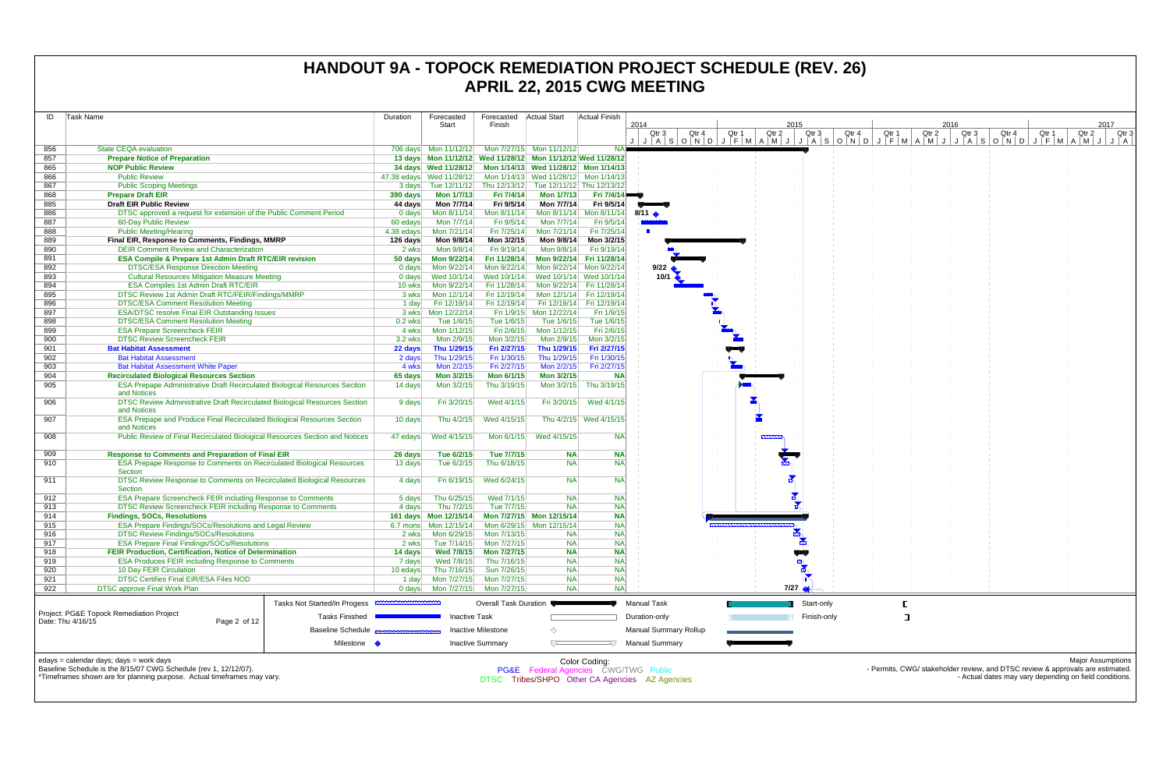| ID         | Task Name                                                                                          |                                                  | Duration   | Forecasted                                        | Forecasted                   | Actual Start                                                    | Actual Finish              |                                                |       |                           |                                                   |       |       |                                                                                |       |       |                                                        |
|------------|----------------------------------------------------------------------------------------------------|--------------------------------------------------|------------|---------------------------------------------------|------------------------------|-----------------------------------------------------------------|----------------------------|------------------------------------------------|-------|---------------------------|---------------------------------------------------|-------|-------|--------------------------------------------------------------------------------|-------|-------|--------------------------------------------------------|
|            |                                                                                                    |                                                  |            | Start                                             | Finish                       |                                                                 |                            | 2014                                           |       |                           | 2015                                              |       |       | 2016                                                                           |       |       | 2017                                                   |
|            |                                                                                                    |                                                  |            |                                                   |                              |                                                                 |                            | Qtr 3                                          | Otr 4 | Qtr <sub>2</sub><br>Qtr 1 | Qtr 3<br>JASONDJFMAMJJJASONDJFMAMJJJASONDJFMAMJJA | Qtr 4 | Qtr 1 | Qtr 2<br>Qtr 3                                                                 | Qtr 4 | Qtr 1 | Qtr 3<br>Qtr 2                                         |
| 856        | <b>State CEQA evaluation</b>                                                                       |                                                  |            |                                                   |                              | 706 days    Mon 11/12/12    Mon 7/27/15    Mon 11/12/12         |                            |                                                |       |                           |                                                   |       |       |                                                                                |       |       |                                                        |
| 857        | <b>Prepare Notice of Preparation</b>                                                               |                                                  |            |                                                   |                              | 13 days  Mon 11/12/12  Wed 11/28/12  Mon 11/12/12  Wed 11/28/12 |                            |                                                |       |                           |                                                   |       |       |                                                                                |       |       |                                                        |
| 865        | <b>NOP Public Review</b>                                                                           |                                                  |            |                                                   |                              | 34 days Wed 11/28/12 Mon 1/14/13 Wed 11/28/12 Mon 1/14/13       |                            |                                                |       |                           |                                                   |       |       |                                                                                |       |       |                                                        |
| 866        | <b>Public Review</b>                                                                               |                                                  |            | 47.38 edays Wed 11/28/12                          |                              | Mon 1/14/13 Wed 11/28/12 Mon 1/14/13                            |                            |                                                |       |                           |                                                   |       |       |                                                                                |       |       |                                                        |
| 867        | <b>Public Scoping Meetings</b>                                                                     |                                                  |            |                                                   |                              | 3 days Tue 12/11/12 Thu 12/13/12 Tue 12/11/12 Thu 12/13/12      |                            |                                                |       |                           |                                                   |       |       |                                                                                |       |       |                                                        |
| 868        | <b>Prepare Draft EIR</b>                                                                           |                                                  | 390 days   | <b>Mon 1/7/13</b>                                 | Fri 7/4/14                   | Mon 1/7/13                                                      | <b>Fri 7/4/14</b>          |                                                |       |                           |                                                   |       |       |                                                                                |       |       |                                                        |
| 885        | <b>Draft EIR Public Review</b>                                                                     |                                                  | 44 days    | Mon 7/7/14                                        | Fri 9/5/14                   | Mon 7/7/14                                                      | Fri 9/5/14                 |                                                |       |                           |                                                   |       |       |                                                                                |       |       |                                                        |
| 886        | DTSC approved a request for extension of the Public Comment Period                                 |                                                  | $0$ days   | Mon 8/11/14                                       | Mon 8/11/14                  | Mon 8/11/14 Mon 8/11/14 8/11                                    |                            |                                                |       |                           |                                                   |       |       |                                                                                |       |       |                                                        |
| 887        | 60-Day Public Review                                                                               |                                                  | 60 edays   | Mon 7/7/14                                        | Fri 9/5/14                   | Mon 7/7/14                                                      | Fri 9/5/14                 |                                                |       |                           |                                                   |       |       |                                                                                |       |       |                                                        |
| 888        | <b>Public Meeting/Hearing</b>                                                                      |                                                  | 4.38 edays | Mon 7/21/14                                       | Fri 7/25/14                  | Mon 7/21/14                                                     | Fri 7/25/14                |                                                |       |                           |                                                   |       |       |                                                                                |       |       |                                                        |
| 889        | Final EIR, Response to Comments, Findings, MMRP                                                    |                                                  | 126 days   | Mon 9/8/14                                        | Mon 3/2/15                   | Mon 9/8/14                                                      | Mon 3/2/15                 |                                                |       |                           |                                                   |       |       |                                                                                |       |       |                                                        |
| 890        | <b>DEIR Comment Review and Characterization</b>                                                    |                                                  | 2 wks      | Mon 9/8/14                                        | Fri 9/19/14                  | Mon 9/8/14                                                      | Fri 9/19/14                |                                                |       |                           |                                                   |       |       |                                                                                |       |       |                                                        |
| 891        | <b>ESA Compile &amp; Prepare 1st Admin Draft RTC/EIR revision</b>                                  |                                                  | 50 days    | Mon 9/22/14                                       | Fri 11/28/14                 | Mon 9/22/14 Fri 11/28/14                                        |                            |                                                |       |                           |                                                   |       |       |                                                                                |       |       |                                                        |
| 892        | <b>DTSC/ESA Response Direction Meeting</b>                                                         |                                                  | 0 days     | Mon 9/22/14                                       | Mon 9/22/14                  | Mon 9/22/14 Mon 9/22/14                                         |                            | 9/22                                           |       |                           |                                                   |       |       |                                                                                |       |       |                                                        |
| 893        | <b>Cultural Resources Mitigation Measure Meeting</b>                                               |                                                  | 0 days     | Wed 10/1/14                                       | Wed 10/1/14                  | Wed 10/1/14 Wed 10/1/14                                         |                            | 10/1                                           |       |                           |                                                   |       |       |                                                                                |       |       |                                                        |
| 894        | <b>ESA Compiles 1st Admin Draft RTC/EIR</b>                                                        |                                                  | 10 wks     | Mon 9/22/14<br>Mon 12/1/14                        | Fri 11/28/14                 |                                                                 | Mon 9/22/14 Fri 11/28/14   |                                                |       |                           |                                                   |       |       |                                                                                |       |       |                                                        |
| 895<br>896 | DTSC Review 1st Admin Draft RTC/FEIR/Findings/MMRP                                                 |                                                  | 3 wks      | Fri 12/19/14                                      | Fri 12/19/14<br>Fri 12/19/14 | Mon 12/1/14 Fri 12/19/14                                        |                            |                                                |       |                           |                                                   |       |       |                                                                                |       |       |                                                        |
| 897        | <b>DTSC/ESA Comment Resolution Meeting</b><br><b>ESA/DTSC resolve Final EIR Outstanding Issues</b> |                                                  | 1 day      |                                                   |                              | Fri 12/19/14<br>Fri 1/9/15 Mon 12/22/14                         | Fri 12/19/14<br>Fri 1/9/15 |                                                |       |                           |                                                   |       |       |                                                                                |       |       |                                                        |
| 898        | <b>DTSC/ESA Comment Resolution Meeting</b>                                                         |                                                  | $0.2$ wks  | Tue 1/6/15                                        | Tue 1/6/15                   | Tue 1/6/15                                                      | Tue 1/6/15                 |                                                |       |                           |                                                   |       |       |                                                                                |       |       |                                                        |
| 899        | <b>ESA Prepare Screencheck FEIR</b>                                                                |                                                  | 4 wks      | Mon 1/12/15                                       | Fri 2/6/15                   | Mon 1/12/15                                                     | Fri 2/6/15                 |                                                |       |                           |                                                   |       |       |                                                                                |       |       |                                                        |
| 900        | <b>DTSC Review Screencheck FEIR</b>                                                                |                                                  | 3.2 wks    | Mon 2/9/15                                        | Mon 3/2/15                   | Mon 2/9/15                                                      | Mon 3/2/15                 |                                                |       |                           |                                                   |       |       |                                                                                |       |       |                                                        |
| 901        | <b>Bat Habitat Assessment</b>                                                                      |                                                  | 22 days    | Thu 1/29/15                                       | Fri 2/27/15                  | Thu 1/29/15                                                     | Fri 2/27/15                |                                                |       |                           |                                                   |       |       |                                                                                |       |       |                                                        |
| 902        | <b>Bat Habitat Assessment</b>                                                                      |                                                  | 2 days     | Thu 1/29/15                                       | Fri 1/30/15                  | Thu 1/29/15                                                     | Fri 1/30/15                |                                                |       |                           |                                                   |       |       |                                                                                |       |       |                                                        |
| 903        | <b>Bat Habitat Assessment White Paper</b>                                                          |                                                  | 4 wks      | Mon 2/2/15                                        | Fri 2/27/15                  | Mon 2/2/15                                                      | Fri 2/27/15                |                                                |       |                           |                                                   |       |       |                                                                                |       |       |                                                        |
| 904        | <b>Recirculated Biological Resources Section</b>                                                   |                                                  | 65 days    | Mon 3/2/15                                        | Mon 6/1/15                   | Mon 3/2/15                                                      | <b>NA</b>                  |                                                |       |                           |                                                   |       |       |                                                                                |       |       |                                                        |
| 905        | ESA Prepape Administrative Draft Recirculated Biological Resources Section<br>and Notices          |                                                  | 14 days    | Mon 3/2/15                                        | Thu 3/19/15                  | Mon 3/2/15                                                      | Thu 3/19/15                |                                                |       |                           |                                                   |       |       |                                                                                |       |       |                                                        |
| 906        | DTSC Review Administrative Draft Recirculated Biological Resources Section<br>and Notices          |                                                  | 9 days     | Fri 3/20/15                                       | Wed 4/1/15                   |                                                                 | Fri 3/20/15 Wed 4/1/15     |                                                |       |                           |                                                   |       |       |                                                                                |       |       |                                                        |
| 907        | <b>ESA Prepape and Produce Final Recirculated Biological Resources Section</b><br>and Notices      |                                                  | 10 days    | Thu 4/2/15                                        | Wed 4/15/15                  |                                                                 | Thu 4/2/15 Wed 4/15/15     |                                                |       |                           |                                                   |       |       |                                                                                |       |       |                                                        |
| 908        | Public Review of Final Recirculated Biological Resources Section and Notices                       |                                                  | 47 edays   | Wed 4/15/15                                       |                              | Mon 6/1/15 Wed 4/15/15                                          | <b>NA</b>                  |                                                |       |                           |                                                   |       |       |                                                                                |       |       |                                                        |
| 909        | <b>Response to Comments and Preparation of Final EIR</b>                                           |                                                  | 26 days    | Tue 6/2/15                                        | Tue 7/7/15                   | <b>NA</b>                                                       | <b>NA</b>                  |                                                |       |                           |                                                   |       |       |                                                                                |       |       |                                                        |
| 910        | ESA Prepape Response to Comments on Recirculated Biological Resources<br>Section                   |                                                  | 13 days    | Tue 6/2/15                                        | Thu 6/18/15                  | <b>NA</b>                                                       | <b>NA</b>                  |                                                |       |                           |                                                   |       |       |                                                                                |       |       |                                                        |
| 911        | DTSC Review Response to Comments on Recirculated Biological Resources<br>Section                   |                                                  | 4 days     | Fri 6/19/15                                       | Wed 6/24/15                  | <b>NA</b>                                                       | <b>NA</b>                  |                                                |       |                           |                                                   |       |       |                                                                                |       |       |                                                        |
| 912        | <b>ESA Prepare Screencheck FEIR including Response to Comments</b>                                 |                                                  | 5 days     | Thu 6/25/15                                       | Wed 7/1/15                   | <b>NA</b>                                                       | <b>NA</b>                  |                                                |       |                           |                                                   |       |       |                                                                                |       |       |                                                        |
| 913        | DTSC Review Screencheck FEIR including Response to Comments                                        |                                                  | 4 days     | Thu 7/2/15                                        | Tue 7/7/15                   | <b>NA</b>                                                       | <b>NA</b>                  |                                                |       |                           |                                                   |       |       |                                                                                |       |       |                                                        |
| 914        | <b>Findings, SOCs, Resolutions</b>                                                                 |                                                  |            |                                                   |                              | 161 days  Mon 12/15/14  Mon 7/27/15  Mon 12/15/14               | <b>NA</b>                  |                                                |       |                           |                                                   |       |       |                                                                                |       |       |                                                        |
| 915        | ESA Prepare Findings/SOCs/Resolutions and Legal Review                                             |                                                  |            |                                                   |                              | 6.7 mons    Mon 12/15/14    Mon 6/29/15    Mon 12/15/14         | <b>NA</b>                  |                                                |       |                           |                                                   |       |       |                                                                                |       |       |                                                        |
| 916        | <b>DTSC Review Findings/SOCs/Resolutions</b>                                                       |                                                  |            | 2 wks   Mon 6/29/15   Mon 7/13/15                 |                              | <b>NA</b>                                                       | <b>NA</b>                  |                                                |       |                           | $\mathbb{R}$                                      |       |       |                                                                                |       |       |                                                        |
| 917        | <b>ESA Prepare Final Findings/SOCs/Resolutions</b>                                                 |                                                  | 2 wks      | Tue 7/14/15                                       | Mon 7/27/15                  | <b>NA</b>                                                       | <b>NA</b>                  |                                                |       |                           | $\frac{1}{2}$                                     |       |       |                                                                                |       |       |                                                        |
| 918        | FEIR Production, Certification, Notice of Determination                                            |                                                  | 14 days    | <b>Wed 7/8/15</b>                                 | Mon 7/27/15                  | <b>NA</b>                                                       | <b>NA</b>                  |                                                |       |                           | V.                                                |       |       |                                                                                |       |       |                                                        |
| 919        | <b>ESA Produces FEIR including Response to Comments</b>                                            |                                                  | 7 days     | Wed 7/8/15                                        | Thu 7/16/15                  | <b>NA</b>                                                       | <b>NA</b>                  |                                                |       |                           | 머                                                 |       |       |                                                                                |       |       |                                                        |
| 920        | 10 Day FEIR Circulation                                                                            |                                                  | 10 edays   | Thu 7/16/15                                       | Sun 7/26/15                  | <b>NA</b>                                                       | <b>NA</b>                  |                                                |       |                           |                                                   |       |       |                                                                                |       |       |                                                        |
| 921<br>922 | <b>DTSC Certifies Final EIR/ESA Files NOD</b><br><b>DTSC approve Final Work Plan</b>               |                                                  | 1 day      | Mon 7/27/15<br>0 days   Mon 7/27/15   Mon 7/27/15 | Mon 7/27/15                  | <b>NA</b><br><b>NA</b>                                          | <b>NA</b><br><b>NA</b>     |                                                |       |                           | 7/27                                              |       |       |                                                                                |       |       |                                                        |
|            |                                                                                                    |                                                  |            |                                                   |                              |                                                                 |                            |                                                |       |                           |                                                   |       |       |                                                                                |       |       |                                                        |
|            |                                                                                                    | Tasks Not Started/In Progess <b>EXAMPLE INCO</b> |            |                                                   | Overall Task Duration        |                                                                 |                            | <b>Manual Task</b>                             |       |                           | Start-only                                        |       |       |                                                                                |       |       |                                                        |
|            | Project: PG&E Topock Remediation Project<br>Date: Thu 4/16/15<br>Page 2 of 12                      | <b>Tasks Finished</b>                            |            | <b>Inactive Task</b>                              |                              |                                                                 |                            | Duration-only                                  |       |                           | Finish-only                                       |       |       |                                                                                |       |       |                                                        |
|            |                                                                                                    | <b>Baseline Schedule</b>                         |            |                                                   | <b>Inactive Milestone</b>    | ◇                                                               |                            | <b>Manual Summary Rollup</b>                   |       |                           |                                                   |       |       |                                                                                |       |       |                                                        |
|            |                                                                                                    | Milestone •                                      |            |                                                   | <b>Inactive Summary</b>      | $\overline{ }$                                                  |                            | <b>Manual Summary</b>                          |       |                           |                                                   |       |       |                                                                                |       |       |                                                        |
|            | edays = calendar days; days = work days                                                            |                                                  |            |                                                   |                              |                                                                 | Color Coding:              |                                                |       |                           |                                                   |       |       |                                                                                |       |       | <b>Major Assumptions</b>                               |
|            | Baseline Schedule is the 8/15/07 CWG Schedule (rev 1, 12/12/07).                                   |                                                  |            |                                                   |                              | <b>PG&amp;E</b> Federal Agencies CWG/TWG Public                 |                            |                                                |       |                           |                                                   |       |       | - Permits, CWG/ stakeholder review, and DTSC review & approvals are estimated. |       |       |                                                        |
|            | *Timeframes shown are for planning purpose. Actual timeframes may vary.                            |                                                  |            |                                                   |                              |                                                                 |                            | DTSC Tribes/SHPO Other CA Agencies AZ Agencies |       |                           |                                                   |       |       |                                                                                |       |       | - Actual dates may vary depending on field conditions. |
|            |                                                                                                    |                                                  |            |                                                   |                              |                                                                 |                            |                                                |       |                           |                                                   |       |       |                                                                                |       |       |                                                        |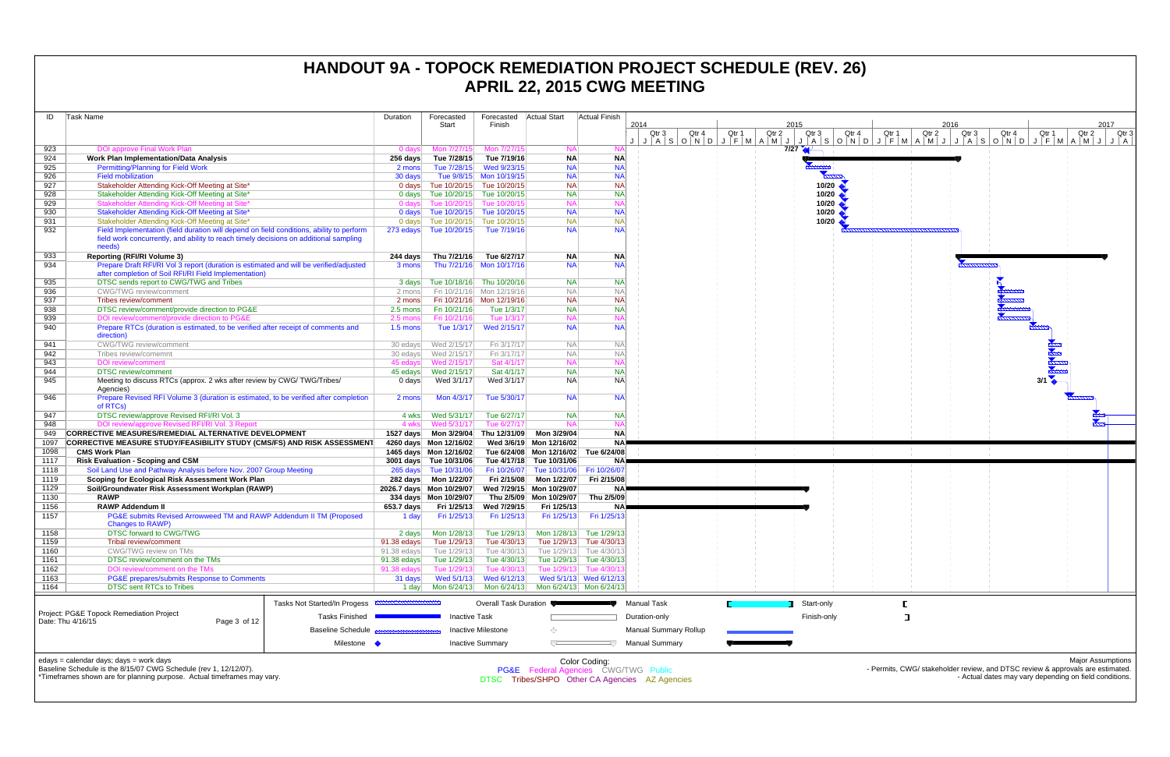| ID   | <b>Task Name</b>                                                                                                                                                                            |                          | Duration           | Forecasted                       | Forecasted                | <b>Actual Start</b>                                                                    | Actual Finish           |      |                                     |       |       |                                                 |                           |         |
|------|---------------------------------------------------------------------------------------------------------------------------------------------------------------------------------------------|--------------------------|--------------------|----------------------------------|---------------------------|----------------------------------------------------------------------------------------|-------------------------|------|-------------------------------------|-------|-------|-------------------------------------------------|---------------------------|---------|
|      |                                                                                                                                                                                             |                          |                    | Start                            | Finish                    |                                                                                        |                         | 2014 | Qtr <sub>3</sub>                    | Qtr 4 | Qtr 1 | Qtr 2                                           | 2015<br>Qtr 3             | Qtr     |
|      |                                                                                                                                                                                             |                          |                    |                                  |                           |                                                                                        |                         |      |                                     |       |       | $J   A   S   O   N   D   J   F   M   A   M   J$ |                           | A S O N |
| 923  | <b>DOI approve Final Work Plan</b>                                                                                                                                                          |                          | 0 days             | Mon 7/27/15                      | Mon 7/27/15               | <b>NA</b>                                                                              | <b>NA</b>               |      |                                     |       |       |                                                 | $7/27$ $4$                |         |
| 924  | Work Plan Implementation/Data Analysis                                                                                                                                                      |                          | 256 days           | Tue 7/28/15                      | Tue 7/19/16               | <b>NA</b>                                                                              | <b>NA</b>               |      |                                     |       |       |                                                 |                           |         |
| 925  | <b>Permitting/Planning for Field Work</b>                                                                                                                                                   |                          | 2 mons             | Tue 7/28/15                      | Wed 9/23/15               | <b>NA</b>                                                                              | <b>NA</b>               |      |                                     |       |       |                                                 |                           |         |
| 926  | <b>Field mobilization</b>                                                                                                                                                                   |                          | 30 days            |                                  | Tue 9/8/15 Mon 10/19/15   | <b>NA</b>                                                                              | <b>NA</b>               |      |                                     |       |       |                                                 |                           |         |
| 927  | Stakeholder Attending Kick-Off Meeting at Site*                                                                                                                                             |                          |                    | 0 days Tue 10/20/15 Tue 10/20/15 |                           | <b>NA</b>                                                                              | <b>NA</b>               |      |                                     |       |       |                                                 |                           | 10/20   |
| 928  | Stakeholder Attending Kick-Off Meeting at Site*                                                                                                                                             |                          |                    | 0 days Tue 10/20/15              | Tue 10/20/15              | <b>NA</b>                                                                              | <b>NA</b>               |      |                                     |       |       |                                                 | 10/20                     |         |
| 929  | Stakeholder Attending Kick-Off Meeting at Site*                                                                                                                                             |                          | $0$ days           | Tue 10/20/15                     | Tue 10/20/15              | <b>NA</b>                                                                              | <b>NA</b>               |      |                                     |       |       |                                                 |                           | 10/20   |
| 930  | Stakeholder Attending Kick-Off Meeting at Site*                                                                                                                                             |                          |                    | 0 days Tue 10/20/15 Tue 10/20/15 |                           | <b>NA</b>                                                                              | <b>NA</b>               |      |                                     |       |       |                                                 |                           | 10/20   |
| 931  | Stakeholder Attending Kick-Off Meeting at Site*                                                                                                                                             |                          | $0$ days           | Tue 10/20/15                     | Tue 10/20/15              | <b>NA</b>                                                                              | <b>NA</b>               |      |                                     |       |       |                                                 | 10/20                     |         |
| 932  | Field Implementation (field duration will depend on field conditions, ability to perform<br>field work concurrently, and ability to reach timely decisions on additional sampling<br>needs) |                          | 273 edays          | Tue 10/20/15                     | Tue 7/19/16               | <b>NA</b>                                                                              | <b>NA</b>               |      |                                     |       |       |                                                 |                           |         |
| 933  | <b>Reporting (RFI/RI Volume 3)</b>                                                                                                                                                          |                          | 244 days           | Thu 7/21/16                      | Tue 6/27/17               | <b>NA</b>                                                                              | <b>NA</b>               |      |                                     |       |       |                                                 |                           |         |
| 934  | Prepare Draft RFI/RI Vol 3 report (duration is estimated and will be verified/adjusted<br>after completion of Soil RFI/RI Field Implementation)                                             |                          | 3 mons             |                                  | Thu 7/21/16 Mon 10/17/16  | <b>NA</b>                                                                              | <b>NA</b>               |      |                                     |       |       |                                                 |                           |         |
| 935  | DTSC sends report to CWG/TWG and Tribes                                                                                                                                                     |                          | 3 days             | Tue 10/18/16                     | Thu 10/20/16              | <b>NA</b>                                                                              | <b>NA</b>               |      |                                     |       |       |                                                 |                           |         |
| 936  | <b>CWG/TWG</b> review/comment                                                                                                                                                               |                          | 2 mons             |                                  | Fri 10/21/16 Mon 12/19/16 | <b>NA</b>                                                                              | <b>NA</b>               |      |                                     |       |       |                                                 |                           |         |
| 937  | Tribes review/comment                                                                                                                                                                       |                          | 2 mons             |                                  | Fri 10/21/16 Mon 12/19/16 | <b>NA</b>                                                                              | <b>NA</b>               |      |                                     |       |       |                                                 |                           |         |
| 938  | DTSC review/comment/provide direction to PG&E                                                                                                                                               |                          | 2.5 mons           | Fri 10/21/16                     | Tue 1/3/17                | <b>NA</b>                                                                              | <b>NA</b>               |      |                                     |       |       |                                                 |                           |         |
| 939  | DOI review/comment/provide direction to PG&E                                                                                                                                                |                          | $2.5 \text{ mon }$ | Fri 10/21/16                     | Tue 1/3/17                | <b>NA</b>                                                                              | <b>NA</b>               |      |                                     |       |       |                                                 |                           |         |
| 940  | Prepare RTCs (duration is estimated, to be verified after receipt of comments and<br>direction)                                                                                             |                          | $1.5 \text{ mon}$  | Tue 1/3/17                       | Wed 2/15/17               | <b>NA</b>                                                                              | <b>NA</b>               |      |                                     |       |       |                                                 |                           |         |
| 941  | CWG/TWG review/comment                                                                                                                                                                      |                          | 30 edays           | Wed 2/15/17                      | Fri 3/17/17               | <b>NA</b>                                                                              | <b>NA</b>               |      |                                     |       |       |                                                 |                           |         |
| 942  | Tribes review/comemnt                                                                                                                                                                       |                          | 30 edays           | Wed 2/15/17                      | Fri 3/17/17               | <b>NA</b>                                                                              | <b>NA</b>               |      |                                     |       |       |                                                 |                           |         |
| 943  | <b>DOI</b> review/comment                                                                                                                                                                   |                          | 45 edays           | Wed 2/15/17                      | Sat 4/1/17                | <b>NA</b>                                                                              | <b>NA</b>               |      |                                     |       |       |                                                 |                           |         |
| 944  | <b>DTSC</b> review/comment                                                                                                                                                                  |                          | 45 edays           | Wed 2/15/17                      | Sat 4/1/17                | <b>NA</b>                                                                              | <b>NA</b>               |      |                                     |       |       |                                                 |                           |         |
| 945  | Meeting to discuss RTCs (approx. 2 wks after review by CWG/TWG/Tribes/<br>Agencies)                                                                                                         |                          | 0 days             | Wed 3/1/17                       | Wed 3/1/17                | <b>NA</b>                                                                              | <b>NA</b>               |      |                                     |       |       |                                                 |                           |         |
| 946  | Prepare Revised RFI Volume 3 (duration is estimated, to be verified after completion<br>of RTCs)                                                                                            |                          | 2 mons             | Mon 4/3/17                       | Tue 5/30/17               | <b>NA</b>                                                                              | <b>NA</b>               |      |                                     |       |       |                                                 |                           |         |
| 947  | DTSC review/approve Revised RFI/RI Vol. 3                                                                                                                                                   |                          | 4 wks              | Wed 5/31/17                      | Tue 6/27/17               | <b>NA</b>                                                                              | <b>NA</b>               |      |                                     |       |       |                                                 |                           |         |
| 948  | DOI review/approve Revised RFI/RI Vol. 3 Report                                                                                                                                             |                          | 4 wks              | Wed 5/31/17                      | Tue 6/27/17               | <b>NA</b>                                                                              | <b>NA</b>               |      |                                     |       |       |                                                 |                           |         |
| 949  | <b>CORRECTIVE MEASURES/REMEDIAL ALTERNATIVE DEVELOPMENT</b>                                                                                                                                 |                          | 1527 days          | Mon 3/29/04                      | Thu 12/31/09              | Mon 3/29/04                                                                            | <b>NA</b>               |      |                                     |       |       |                                                 |                           |         |
| 1097 | CORRECTIVE MEASURE STUDY/FEASIBILITY STUDY (CMS/FS) AND RISK ASSESSMENT                                                                                                                     |                          |                    | 4260 days Mon 12/16/02           |                           | Wed 3/6/19 Mon 12/16/02                                                                | <b>NA</b>               |      |                                     |       |       |                                                 |                           |         |
| 1098 | <b>CMS Work Plan</b>                                                                                                                                                                        |                          |                    | 1465 days Mon 12/16/02           |                           | Tue 6/24/08 Mon 12/16/02                                                               | Tue 6/24/08             |      |                                     |       |       |                                                 |                           |         |
| 1117 | <b>Risk Evaluation - Scoping and CSM</b>                                                                                                                                                    |                          |                    | 3001 days Tue 10/31/06           | Tue 4/17/18               | Tue 10/31/06                                                                           | NA)                     |      |                                     |       |       |                                                 |                           |         |
| 1118 | Soil Land Use and Pathway Analysis before Nov. 2007 Group Meeting                                                                                                                           |                          |                    | 265 days Tue 10/31/06            | Fri 10/26/07              | Tue 10/31/06                                                                           | Fri 10/26/07            |      |                                     |       |       |                                                 |                           |         |
| 1119 | Scoping for Ecological Risk Assessment Work Plan                                                                                                                                            |                          |                    |                                  | Fri 2/15/08               | Mon 1/22/07                                                                            | Fri 2/15/08             |      |                                     |       |       |                                                 |                           |         |
| 1129 | Soil/Groundwater Risk Assessment Workplan (RAWP)                                                                                                                                            |                          |                    | 2026.7 days Mon 10/29/07         |                           | Wed 7/29/15 Mon 10/29/07                                                               | NA)                     |      |                                     |       |       |                                                 |                           |         |
| 1130 | <b>RAWP</b>                                                                                                                                                                                 |                          |                    | 334 days Mon 10/29/07            |                           | Thu 2/5/09 Mon 10/29/07                                                                | Thu 2/5/09              |      |                                     |       |       |                                                 |                           |         |
| 1156 | <b>RAWP Addendum II</b>                                                                                                                                                                     |                          | 653.7 days         | Fri 1/25/13                      | Wed 7/29/15               | Fri 1/25/13                                                                            | <b>NA</b>               |      |                                     |       |       |                                                 |                           |         |
| 1157 | PG&E submits Revised Arrowweed TM and RAWP Addendum II TM (Proposed<br><b>Changes to RAWP)</b>                                                                                              |                          | 1 day              | Fri 1/25/13                      | Fri 1/25/13               | Fri 1/25/13                                                                            | Fri 1/25/13             |      |                                     |       |       |                                                 |                           |         |
| 1158 | <b>DTSC forward to CWG/TWG</b>                                                                                                                                                              |                          | 2 days             | Mon 1/28/13                      | Tue 1/29/13               |                                                                                        | Mon 1/28/13 Tue 1/29/13 |      |                                     |       |       |                                                 |                           |         |
| 1159 | <b>Tribal review/comment</b>                                                                                                                                                                |                          | 91.38 edays        | Tue 1/29/13                      | Tue 4/30/13               | Tue 1/29/13                                                                            | Tue 4/30/13             |      |                                     |       |       |                                                 |                           |         |
| 1160 | CWG/TWG review on TMs                                                                                                                                                                       |                          | 91.38 edays        | Tue 1/29/13                      | Tue 4/30/13               |                                                                                        | Tue 1/29/13 Tue 4/30/13 |      |                                     |       |       |                                                 |                           |         |
| 1161 | DTSC review/comment on the TMs                                                                                                                                                              |                          | 91.38 edays        | Tue 1/29/13                      | Tue 4/30/13               |                                                                                        | Tue 1/29/13 Tue 4/30/13 |      |                                     |       |       |                                                 |                           |         |
| 1162 | DOI review/comment on the TMs                                                                                                                                                               |                          | $91.38$ edays      | Tue 1/29/13                      | Tue 4/30/13               | Tue 1/29/13                                                                            | Tue 4/30/13             |      |                                     |       |       |                                                 |                           |         |
| 1163 | PG&E prepares/submits Response to Comments                                                                                                                                                  |                          | 31 days            | Wed 5/1/13                       | Wed 6/12/13               |                                                                                        | Wed 5/1/13 Wed 6/12/13  |      |                                     |       |       |                                                 |                           |         |
| 1164 | <b>DTSC sent RTCs to Tribes</b>                                                                                                                                                             |                          | 1 day              | Mon 6/24/13                      | Mon 6/24/13               |                                                                                        | Mon 6/24/13 Mon 6/24/13 |      |                                     |       |       |                                                 |                           |         |
|      |                                                                                                                                                                                             |                          |                    |                                  |                           |                                                                                        |                         |      |                                     |       |       |                                                 |                           |         |
|      | Tasks Not Started/In Progess <b>ANNION CONTROL</b><br>Project: PG&E Topock Remediation Project<br><b>Tasks Finished</b>                                                                     |                          |                    | <b>Inactive Task</b>             | Overall Task Duration     |                                                                                        |                         |      | <b>Manual Task</b><br>Duration-only |       |       |                                                 | Start-only<br>Finish-only |         |
|      | Date: Thu 4/16/15<br>Page 3 of 12                                                                                                                                                           | <b>Baseline Schedule</b> |                    |                                  | Inactive Milestone        | ⊙                                                                                      |                         |      | <b>Manual Summary Rollup</b>        |       |       |                                                 |                           |         |
|      |                                                                                                                                                                                             | Milestone •              |                    |                                  | <b>Inactive Summary</b>   |                                                                                        |                         |      | <b>Manual Summary</b>               |       |       |                                                 |                           |         |
|      | edays = calendar days; days = work days<br>Baseline Schedule is the 8/15/07 CWG Schedule (rev 1, 12/12/07).<br>*Timeframes shown are for planning purpose. Actual timeframes may vary.      |                          |                    |                                  |                           | PG&E Federal Agencies CWG/TWG Public<br>DTSC Tribes/SHPO Other CA Agencies AZ Agencies | Color Coding:           |      |                                     |       |       |                                                 |                           |         |

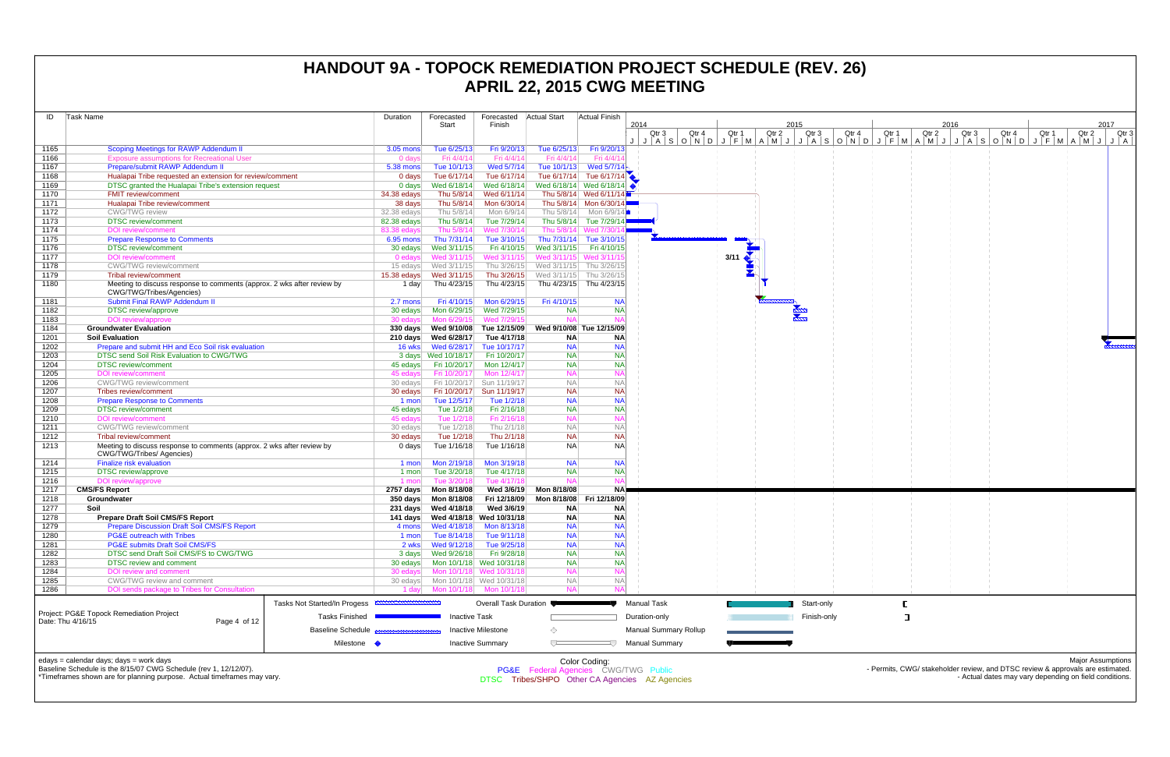| ID           | Task Name                                                                                          | Duration                                             | Forecasted                                                 | Forecasted                 | <b>Actual Start</b>                 | Actual Finish                                         |                       |       |       |       |             |                |                                                                                                                                                                                                                                               |       |                                                        |                          |
|--------------|----------------------------------------------------------------------------------------------------|------------------------------------------------------|------------------------------------------------------------|----------------------------|-------------------------------------|-------------------------------------------------------|-----------------------|-------|-------|-------|-------------|----------------|-----------------------------------------------------------------------------------------------------------------------------------------------------------------------------------------------------------------------------------------------|-------|--------------------------------------------------------|--------------------------|
|              |                                                                                                    |                                                      | Start                                                      | Finish                     |                                     |                                                       | 2014                  |       |       | 2015  |             |                | 2016                                                                                                                                                                                                                                          |       |                                                        | 2017                     |
|              |                                                                                                    |                                                      |                                                            |                            |                                     |                                                       | Qtr 3                 | Qtr 4 | Qtr 1 | Qtr 2 | Qtr 3       | Qtr 4<br>Qtr 1 | Qtr 2<br>Qtr 3<br>   A    S    O    N    A    N    A    M    A    A    S    O    N    O    N    A    M    A    A    A    M    A    M    A    M    A    M    A    M    A    M    A    M    A    A    A    A    A    A    A    A    A    A    A | Qtr 4 | Qtr 1<br>Qtr 2                                         | Qtr <sub>3</sub>         |
| 1165         | Scoping Meetings for RAWP Addendum II                                                              | 3.05 mons                                            | Tue 6/25/13                                                | Fri 9/20/13                | Tue 6/25/13                         | Fri 9/20/13                                           |                       |       |       |       |             |                |                                                                                                                                                                                                                                               |       |                                                        |                          |
| 1166         | <b>Exposure assumptions for Recreational User</b>                                                  | 0 days                                               | Fri 4/4/14                                                 | Fri 4/4/14                 | Fri 4/4/14                          | Fri 4/4/1                                             |                       |       |       |       |             |                |                                                                                                                                                                                                                                               |       |                                                        |                          |
| 1167         | Prepare/submit RAWP Addendum II                                                                    | 5.38 mons                                            | Tue 10/1/13                                                | Wed 5/7/14                 | Tue 10/1/13                         | Wed 5/7/14 $\sim$                                     |                       |       |       |       |             |                |                                                                                                                                                                                                                                               |       |                                                        |                          |
| 1168         | Hualapai Tribe requested an extension for review/comment                                           | 0 days                                               | Tue 6/17/14                                                | Tue 6/17/14                |                                     | Tue 6/17/14 Tue 6/17/14                               |                       |       |       |       |             |                |                                                                                                                                                                                                                                               |       |                                                        |                          |
| 1169         | DTSC granted the Hualapai Tribe's extension request                                                | 0 days                                               | Wed 6/18/14                                                |                            |                                     |                                                       |                       |       |       |       |             |                |                                                                                                                                                                                                                                               |       |                                                        |                          |
| 1170         | <b>FMIT review/comment</b>                                                                         | 34.38 edays                                          | Thu 5/8/14                                                 | Wed 6/11/14                |                                     | Thu 5/8/14 Wed 6/11/14                                |                       |       |       |       |             |                |                                                                                                                                                                                                                                               |       |                                                        |                          |
| 1171         | Hualapai Tribe review/comment                                                                      | 38 days                                              | Thu 5/8/14                                                 | Mon 6/30/14                |                                     | Thu 5/8/14 Mon 6/30/14                                |                       |       |       |       |             |                |                                                                                                                                                                                                                                               |       |                                                        |                          |
| 1172         | <b>CWG/TWG</b> review                                                                              | 32.38 edays                                          | Thu 5/8/14                                                 | Mon 6/9/14                 |                                     | Thu 5/8/14 Mon 6/9/14                                 |                       |       |       |       |             |                |                                                                                                                                                                                                                                               |       |                                                        |                          |
| 1173         | <b>DTSC</b> review/comment                                                                         | 82.38 edays                                          | Thu 5/8/14                                                 | Tue 7/29/14                |                                     | Thu 5/8/14 Tue 7/29/14                                |                       |       |       |       |             |                |                                                                                                                                                                                                                                               |       |                                                        |                          |
| 1174         | <b>DOI</b> review/comment                                                                          | 83.38 edays                                          | Thu 5/8/14                                                 | Wed 7/30/14                |                                     | Thu 5/8/14 Wed 7/30/                                  |                       |       |       |       |             |                |                                                                                                                                                                                                                                               |       |                                                        |                          |
| 1175         | <b>Prepare Response to Comments</b>                                                                | $6.95$ mons                                          | Thu 7/31/14                                                | Tue 3/10/15                |                                     | Thu 7/31/14 Tue 3/10/15                               |                       |       |       |       |             |                |                                                                                                                                                                                                                                               |       |                                                        |                          |
| 1176         | <b>DTSC</b> review/comment                                                                         | 30 edays                                             | Wed 3/11/15                                                | Fri 4/10/15                | Wed 3/11/15                         | Fri 4/10/15                                           |                       |       |       |       |             |                |                                                                                                                                                                                                                                               |       |                                                        |                          |
| 1177         | <b>DOI</b> review/comment                                                                          | 0 edays                                              | Wed 3/11/15                                                | Wed 3/11/15                |                                     | Wed 3/11/15 Wed 3/11/1                                |                       |       | 3/11  |       |             |                |                                                                                                                                                                                                                                               |       |                                                        |                          |
| 1178         | <b>CWG/TWG</b> review/comment                                                                      | 15 edays                                             | Wed 3/11/15                                                |                            | Thu 3/26/15 Wed 3/11/15 Thu 3/26/15 |                                                       |                       |       |       |       |             |                |                                                                                                                                                                                                                                               |       |                                                        |                          |
| 1179         | <b>Tribal review/comment</b>                                                                       | 15.38 edays                                          | Wed 3/11/15                                                | Thu 3/26/15                |                                     | Wed 3/11/15 Thu 3/26/15                               |                       |       |       |       |             |                |                                                                                                                                                                                                                                               |       |                                                        |                          |
| 1180         | Meeting to discuss response to comments (approx. 2 wks after review by<br>CWG/TWG/Tribes/Agencies) | 1 day                                                | Thu 4/23/15                                                | Thu 4/23/15                |                                     | Thu 4/23/15 Thu 4/23/15                               |                       |       |       |       |             |                |                                                                                                                                                                                                                                               |       |                                                        |                          |
| 1181         | <b>Submit Final RAWP Addendum II</b>                                                               | 2.7 mons                                             | Fri 4/10/15                                                | Mon 6/29/15                | Fri 4/10/15                         | <b>NA</b>                                             |                       |       |       |       |             |                |                                                                                                                                                                                                                                               |       |                                                        |                          |
| 1182         | <b>DTSC</b> review/approve                                                                         | 30 edays                                             | Mon 6/29/15                                                | Wed 7/29/15                | <b>NA</b>                           | <b>NA</b>                                             |                       |       |       |       |             |                |                                                                                                                                                                                                                                               |       |                                                        |                          |
| 1183         | DOI review/approve                                                                                 | 30 edavs                                             | Mon 6/29/15                                                | Wed 7/29/15                | <b>NA</b>                           |                                                       |                       |       |       |       |             |                |                                                                                                                                                                                                                                               |       |                                                        |                          |
| 1184         | <b>Groundwater Evaluation</b>                                                                      |                                                      | 330 days Wed 9/10/08 Tue 12/15/09 Wed 9/10/08 Tue 12/15/09 |                            |                                     |                                                       |                       |       |       |       |             |                |                                                                                                                                                                                                                                               |       |                                                        |                          |
| 1201         | <b>Soil Evaluation</b>                                                                             |                                                      | 210 days Wed 6/28/17                                       | Tue 4/17/18                | <b>NA</b>                           | <b>NA</b>                                             |                       |       |       |       |             |                |                                                                                                                                                                                                                                               |       |                                                        |                          |
| 1202         | Prepare and submit HH and Eco Soil risk evaluation                                                 |                                                      |                                                            |                            | <b>NA</b>                           | <b>NA</b>                                             |                       |       |       |       |             |                |                                                                                                                                                                                                                                               |       |                                                        |                          |
| 1203         | DTSC send Soil Risk Evaluation to CWG/TWG                                                          |                                                      | 3 days Wed 10/18/17                                        | Fri 10/20/17               | <b>NA</b>                           | NA                                                    |                       |       |       |       |             |                |                                                                                                                                                                                                                                               |       |                                                        |                          |
| 1204         | <b>DTSC</b> review/comment                                                                         |                                                      | 45 edays Fri 10/20/17                                      | Mon 12/4/17                | <b>NA</b>                           | NA                                                    |                       |       |       |       |             |                |                                                                                                                                                                                                                                               |       |                                                        |                          |
| 1205         | <b>DOI</b> review/comment                                                                          | 45 edays                                             | Fri 10/20/17                                               | Mon 12/4/17                | <b>NA</b>                           |                                                       |                       |       |       |       |             |                |                                                                                                                                                                                                                                               |       |                                                        |                          |
| 1206         | <b>CWG/TWG</b> review/comment                                                                      | 30 edays                                             | Fri 10/20/17                                               | Sun 11/19/17               | <b>NA</b>                           | <b>NA</b>                                             |                       |       |       |       |             |                |                                                                                                                                                                                                                                               |       |                                                        |                          |
| 1207         | Tribes review/comment                                                                              | 30 edays                                             | Fri 10/20/17 Sun 11/19/17                                  |                            | <b>NA</b>                           | <b>NA</b>                                             |                       |       |       |       |             |                |                                                                                                                                                                                                                                               |       |                                                        |                          |
| 1208         | <b>Prepare Response to Comments</b><br><b>DTSC</b> review/comment                                  | 1 mon                                                | Tue 12/5/17                                                | Tue 1/2/18                 | <b>NA</b><br><b>NA</b>              | <b>NA</b><br><b>NA</b>                                |                       |       |       |       |             |                |                                                                                                                                                                                                                                               |       |                                                        |                          |
| 1209         | <b>DOI</b> review/comment                                                                          | 45 edays<br>45 edays                                 | Tue 1/2/18<br>Tue 1/2/18                                   | Fri 2/16/18<br>Fri 2/16/18 | <b>NA</b>                           |                                                       |                       |       |       |       |             |                |                                                                                                                                                                                                                                               |       |                                                        |                          |
| 1210<br>1211 | <b>CWG/TWG</b> review/comment                                                                      | 30 edays                                             | Tue 1/2/18                                                 | Thu 2/1/18                 | <b>NA</b>                           | <b>NA</b>                                             |                       |       |       |       |             |                |                                                                                                                                                                                                                                               |       |                                                        |                          |
| 1212         | <b>Tribal review/comment</b>                                                                       | 30 edays                                             | Tue 1/2/18                                                 | Thu 2/1/18                 | <b>NA</b>                           | NA                                                    |                       |       |       |       |             |                |                                                                                                                                                                                                                                               |       |                                                        |                          |
| 1213         | Meeting to discuss response to comments (approx. 2 wks after review by                             | 0 days                                               | Tue 1/16/18                                                | Tue 1/16/18                | <b>NA</b>                           | <b>NA</b>                                             |                       |       |       |       |             |                |                                                                                                                                                                                                                                               |       |                                                        |                          |
| 1214         | <b>CWG/TWG/Tribes/ Agencies)</b><br><b>Finalize risk evaluation</b>                                | 1 mon                                                | Mon 2/19/18                                                | Mon 3/19/18                | <b>NA</b>                           | <b>NA</b>                                             |                       |       |       |       |             |                |                                                                                                                                                                                                                                               |       |                                                        |                          |
| 1215         | <b>DTSC</b> review/approve                                                                         | 1 mon                                                | Tue 3/20/18                                                | Tue 4/17/18                | <b>NA</b>                           | NA                                                    |                       |       |       |       |             |                |                                                                                                                                                                                                                                               |       |                                                        |                          |
| 1216         | DOI review/approve                                                                                 | 1 mon                                                | Tue 3/20/18                                                | Tue 4/17/18                | <b>NA</b>                           |                                                       |                       |       |       |       |             |                |                                                                                                                                                                                                                                               |       |                                                        |                          |
| 1217         | <b>CMS/FS Report</b>                                                                               |                                                      |                                                            | Wed 3/6/19                 | Mon 8/18/08                         | NA!                                                   |                       |       |       |       |             |                |                                                                                                                                                                                                                                               |       |                                                        |                          |
| 1218         | Groundwater                                                                                        |                                                      |                                                            | Fri 12/18/09               | Mon 8/18/08                         | Fri 12/18/09                                          |                       |       |       |       |             |                |                                                                                                                                                                                                                                               |       |                                                        |                          |
| 1277         | Soil                                                                                               |                                                      | 231 days Wed 4/18/18                                       | Wed 3/6/19                 | <b>NA</b>                           | <b>NA</b>                                             |                       |       |       |       |             |                |                                                                                                                                                                                                                                               |       |                                                        |                          |
| 1278         | <b>Prepare Draft Soil CMS/FS Report</b>                                                            |                                                      | 141 days Wed 4/18/18 Wed 10/31/18                          |                            | <b>NA</b>                           | <b>NA</b>                                             |                       |       |       |       |             |                |                                                                                                                                                                                                                                               |       |                                                        |                          |
| 1279         | <b>Prepare Discussion Draft Soil CMS/FS Report</b>                                                 |                                                      |                                                            |                            | <b>NA</b>                           | <b>NIA</b>                                            |                       |       |       |       |             |                |                                                                                                                                                                                                                                               |       |                                                        |                          |
| 1280         | <b>PG&amp;E outreach with Tribes</b>                                                               | 1 mon                                                | Tue 8/14/18                                                | Tue 9/11/18                | <b>NA</b>                           | <b>NA</b>                                             |                       |       |       |       |             |                |                                                                                                                                                                                                                                               |       |                                                        |                          |
| 1281         | <b>PG&amp;E submits Draft Soil CMS/FS</b>                                                          | 2 wks                                                | Wed 9/12/18                                                | Tue 9/25/18                | <b>NA</b>                           | <b>NA</b>                                             |                       |       |       |       |             |                |                                                                                                                                                                                                                                               |       |                                                        |                          |
| 1282         | DTSC send Draft Soil CMS/FS to CWG/TWG                                                             |                                                      |                                                            | Fri 9/28/18                | <b>NA</b>                           | NA                                                    |                       |       |       |       |             |                |                                                                                                                                                                                                                                               |       |                                                        |                          |
| 1283         | <b>DTSC</b> review and comment                                                                     |                                                      | 30 edays    Mon 10/1/18    Wed 10/31/18                    |                            | <b>NA</b>                           | NA                                                    |                       |       |       |       |             |                |                                                                                                                                                                                                                                               |       |                                                        |                          |
| 1284         | DOI review and comment                                                                             |                                                      | 30 edays Mon 10/1/18 Wed 10/31/18                          |                            | <b>NA</b>                           |                                                       |                       |       |       |       |             |                |                                                                                                                                                                                                                                               |       |                                                        |                          |
| 1285         | CWG/TWG review and comment                                                                         |                                                      | 30 edays Mon 10/1/18 Wed 10/31/18                          |                            | <b>NA</b>                           | <b>NA</b>                                             |                       |       |       |       |             |                |                                                                                                                                                                                                                                               |       |                                                        |                          |
| 1286         | DOI sends package to Tribes for Consultation                                                       |                                                      | 1 day   Mon 10/1/18   Mon 10/1/18                          |                            | <b>NA</b>                           |                                                       |                       |       |       |       |             |                |                                                                                                                                                                                                                                               |       |                                                        |                          |
|              |                                                                                                    | Tasks Not Started/In Progess <b>ANDIODIALIZATION</b> |                                                            | Overall Task Duration ●    |                                     |                                                       | <b>Manual Task</b>    |       |       |       | Start-only  |                |                                                                                                                                                                                                                                               |       |                                                        |                          |
|              | Project: PG&E Topock Remediation Project                                                           |                                                      |                                                            |                            |                                     |                                                       |                       |       |       |       |             |                |                                                                                                                                                                                                                                               |       |                                                        |                          |
|              | Date: Thu 4/16/15<br>Page 4 of 12                                                                  | <b>Tasks Finished</b>                                | <b>Inactive Task</b>                                       |                            |                                     |                                                       | Duration-only         |       |       |       | Finish-only |                |                                                                                                                                                                                                                                               |       |                                                        |                          |
|              |                                                                                                    | <b>Baseline Schedule</b>                             |                                                            | <b>Inactive Milestone</b>  | ♦                                   |                                                       | Manual Summary Rollup |       |       |       |             |                |                                                                                                                                                                                                                                               |       |                                                        |                          |
|              |                                                                                                    | Milestone •                                          |                                                            | <b>Inactive Summary</b>    | $\overline{C}$                      |                                                       | <b>Manual Summary</b> |       |       |       |             |                |                                                                                                                                                                                                                                               |       |                                                        |                          |
|              | edays = calendar days; days = work days                                                            |                                                      |                                                            |                            |                                     |                                                       |                       |       |       |       |             |                |                                                                                                                                                                                                                                               |       |                                                        | <b>Major Assumptions</b> |
|              | Baseline Schedule is the 8/15/07 CWG Schedule (rev 1, 12/12/07).                                   |                                                      |                                                            |                            |                                     | Color Coding:<br>PG&E Federal Agencies CWG/TWG Public |                       |       |       |       |             |                | - Permits, CWG/ stakeholder review, and DTSC review & approvals are estimated.                                                                                                                                                                |       |                                                        |                          |
|              | *Timeframes shown are for planning purpose. Actual timeframes may vary.                            |                                                      |                                                            |                            |                                     | DTSC Tribes/SHPO Other CA Agencies AZ Agencies        |                       |       |       |       |             |                |                                                                                                                                                                                                                                               |       | - Actual dates may vary depending on field conditions. |                          |
|              |                                                                                                    |                                                      |                                                            |                            |                                     |                                                       |                       |       |       |       |             |                |                                                                                                                                                                                                                                               |       |                                                        |                          |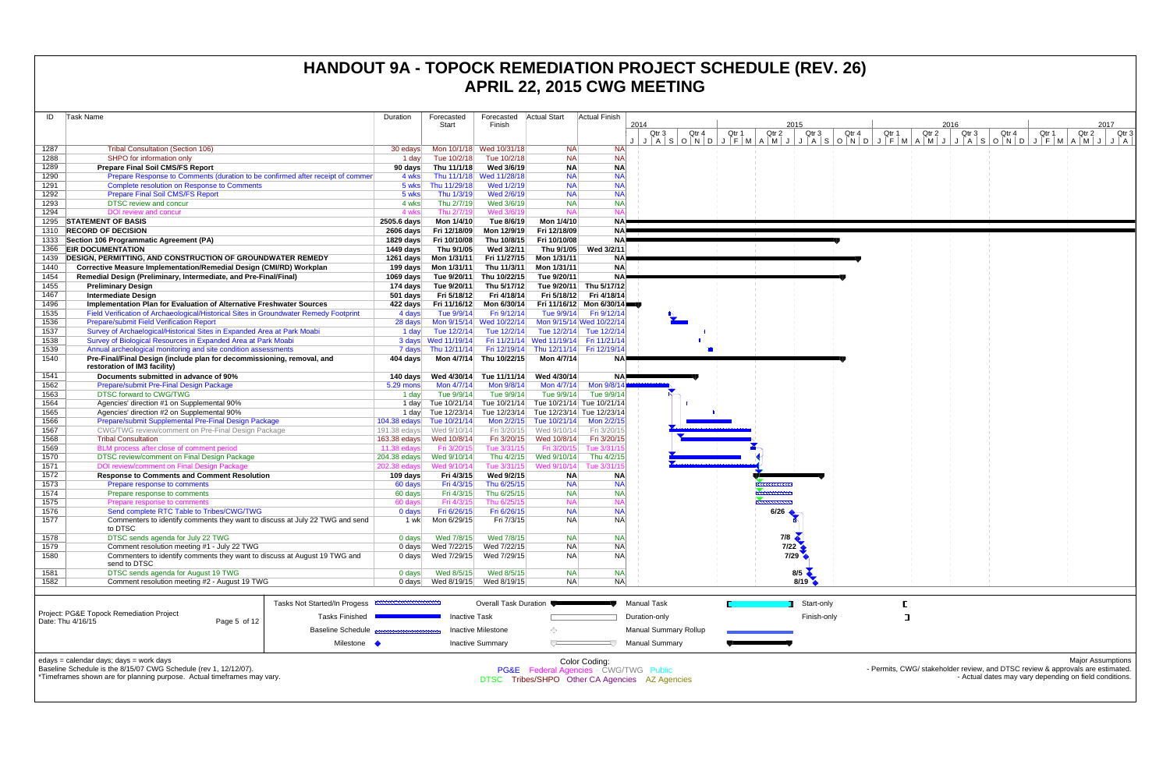| ID                | Task Name                                                                                                                                                                              | Duration                     | Forecasted                 | Forecasted                   | <b>Actual Start</b>                                       | Actual Finish                          |                                                                                                                                                           |                |                          |                |                                                                               |                                                        |       |                          |
|-------------------|----------------------------------------------------------------------------------------------------------------------------------------------------------------------------------------|------------------------------|----------------------------|------------------------------|-----------------------------------------------------------|----------------------------------------|-----------------------------------------------------------------------------------------------------------------------------------------------------------|----------------|--------------------------|----------------|-------------------------------------------------------------------------------|--------------------------------------------------------|-------|--------------------------|
|                   |                                                                                                                                                                                        |                              | Start                      | Finish                       |                                                           |                                        | 2014<br>Qtr 3<br>Qtr 4                                                                                                                                    | Qtr 2<br>Qtr 1 | 2015<br>Qtr <sub>3</sub> | Qtr 4<br>Qtr 1 | 2016<br>Qtr 3<br>Qtr 2                                                        | Qtr 4                                                  | Qtr 1 | 2017<br>Qtr 2<br>Qtr 3   |
|                   |                                                                                                                                                                                        |                              |                            |                              |                                                           |                                        | J   J   A   S   O   N   D   J   F   M   A   M   J   J   A   S   O   N   O   J   F   M   A   M   J   J   A   S   O   N   D   J   F   M   A   M   J   J   A |                |                          |                |                                                                               |                                                        |       |                          |
| 1287              | <b>Tribal Consultation (Section 106)</b>                                                                                                                                               | 30 edays                     |                            | Mon 10/1/18 Wed 10/31/18     | NA.<br><b>NA</b>                                          | <b>NA</b><br><b>NA</b>                 |                                                                                                                                                           |                |                          |                |                                                                               |                                                        |       |                          |
| 1288<br>1289      | SHPO for information only<br><b>Prepare Final Soil CMS/FS Report</b>                                                                                                                   | 1 day<br>90 days             | Tue 10/2/18<br>Thu 11/1/18 | Tue 10/2/18<br>Wed 3/6/19    | <b>NA</b>                                                 | <b>NA</b>                              |                                                                                                                                                           |                |                          |                |                                                                               |                                                        |       |                          |
| 1290              | Prepare Response to Comments (duration to be confirmed after receipt of commer                                                                                                         | 4 wks                        |                            | Thu 11/1/18 Wed 11/28/18     | <b>NA</b>                                                 | <b>NA</b>                              |                                                                                                                                                           |                |                          |                |                                                                               |                                                        |       |                          |
| 1291              | <b>Complete resolution on Response to Comments</b>                                                                                                                                     | 5 wks                        | Thu 11/29/18               | Wed 1/2/19                   | <b>NA</b>                                                 | <b>NA</b>                              |                                                                                                                                                           |                |                          |                |                                                                               |                                                        |       |                          |
| 1292              | <b>Prepare Final Soil CMS/FS Report</b>                                                                                                                                                | 5 wks                        | Thu 1/3/19                 | Wed 2/6/19                   | <b>NA</b>                                                 | <b>NA</b>                              |                                                                                                                                                           |                |                          |                |                                                                               |                                                        |       |                          |
| 1293              | <b>DTSC review and concur</b>                                                                                                                                                          | 4 wks                        | Thu 2/7/19                 | Wed 3/6/19                   | <b>NA</b>                                                 | <b>NA</b>                              |                                                                                                                                                           |                |                          |                |                                                                               |                                                        |       |                          |
| 1294              | DOI review and concur<br>1295 STATEMENT OF BASIS                                                                                                                                       | 4 wks                        | Thu 2/7/19<br>Mon 1/4/10   | Wed 3/6/19<br>Tue 8/6/19     | <b>NA</b><br>Mon 1/4/10                                   | NA                                     |                                                                                                                                                           |                |                          |                |                                                                               |                                                        |       |                          |
|                   | 1310 RECORD OF DECISION                                                                                                                                                                | 2505.6 days<br>2606 days     | Fri 12/18/09               | Mon 12/9/19                  | Fri 12/18/09                                              | NA <b>P</b>                            |                                                                                                                                                           |                |                          |                |                                                                               |                                                        |       |                          |
|                   | 1333 Section 106 Programmatic Agreement (PA)                                                                                                                                           | 1829 days                    | Fri 10/10/08               | Thu 10/8/15                  | Fri 10/10/08                                              | NA P                                   |                                                                                                                                                           |                |                          |                |                                                                               |                                                        |       |                          |
|                   | 1366 EIR DOCUMENTATION                                                                                                                                                                 | 1449 days                    | Thu 9/1/05                 | Wed 3/2/11                   | Thu 9/1/05                                                | Wed 3/2/11                             |                                                                                                                                                           |                |                          |                |                                                                               |                                                        |       |                          |
| 1439              | <b>DESIGN, PERMITTING, AND CONSTRUCTION OF GROUNDWATER REMEDY</b>                                                                                                                      |                              | 1261 days    Mon 1/31/11   | Fri 11/27/15                 | Mon 1/31/11                                               |                                        |                                                                                                                                                           |                |                          |                |                                                                               |                                                        |       |                          |
| 1440              | Corrective Measure Implementation/Remedial Design (CMI/RD) Workplan                                                                                                                    |                              | 199 days    Mon 1/31/11    | Thu 11/3/11                  | Mon 1/31/11                                               | <b>NA</b>                              |                                                                                                                                                           |                |                          |                |                                                                               |                                                        |       |                          |
| 1454              | Remedial Design (Preliminary, Intermediate, and Pre-Final/Final)                                                                                                                       | 1069 days                    | Tue 9/20/11                | Thu 10/22/15                 | Tue 9/20/11                                               | <b>NA</b>                              |                                                                                                                                                           |                |                          |                |                                                                               |                                                        |       |                          |
| 1455<br>1467      | <b>Preliminary Design</b><br><b>Intermediate Design</b>                                                                                                                                | 174 days<br>$501$ days       | Tue 9/20/11<br>Fri 5/18/12 | Thu 5/17/12<br>Fri 4/18/14   | Fri 5/18/12                                               | Tue 9/20/11 Thu 5/17/12<br>Fri 4/18/14 |                                                                                                                                                           |                |                          |                |                                                                               |                                                        |       |                          |
| 1496              | Implementation Plan for Evaluation of Alternative Freshwater Sources                                                                                                                   | 422 days                     | Fri 11/16/12               | Mon 6/30/14                  |                                                           | Fri 11/16/12 Mon 6/30/14               |                                                                                                                                                           |                |                          |                |                                                                               |                                                        |       |                          |
| 1535              | Field Verification of Archaeological/Historical Sites in Groundwater Remedy Footprint                                                                                                  | 4 days                       | Tue 9/9/14                 | Fri 9/12/14                  |                                                           | Tue 9/9/14   Fri 9/12/14               |                                                                                                                                                           |                |                          |                |                                                                               |                                                        |       |                          |
| 1536              | <b>Prepare/submit Field Verification Report</b>                                                                                                                                        | 28 days                      |                            | Mon 9/15/14 Wed 10/22/14     |                                                           | Mon 9/15/14 Wed 10/22/14               |                                                                                                                                                           |                |                          |                |                                                                               |                                                        |       |                          |
| 1537              | Survey of Archaelogical/Historical Sites in Expanded Area at Park Moabi                                                                                                                | 1 day                        | Tue 12/2/14                | Tue 12/2/14                  |                                                           | Tue 12/2/14 Tue 12/2/14                |                                                                                                                                                           |                |                          |                |                                                                               |                                                        |       |                          |
| 1538              | Survey of Biological Resources in Expanded Area at Park Moabi                                                                                                                          |                              | 3 days Wed 11/19/14        |                              | Fri 11/21/14 Wed 11/19/14 Fri 11/21/14                    |                                        |                                                                                                                                                           |                |                          |                |                                                                               |                                                        |       |                          |
| 1539              | Annual archeological monitoring and site condition assessments                                                                                                                         | 7 days                       | Thu 12/11/14               |                              | Fri 12/19/14 Thu 12/11/14 Fri 12/19/14                    |                                        |                                                                                                                                                           |                |                          |                |                                                                               |                                                        |       |                          |
| 1540              | Pre-Final/Final Design (include plan for decommissioning, removal, and<br>restoration of IM3 facility)                                                                                 | 404 days                     | Mon 4/7/14                 | Thu 10/22/15                 | Mon 4/7/14                                                |                                        |                                                                                                                                                           |                |                          |                |                                                                               |                                                        |       |                          |
| 1541              | Documents submitted in advance of 90%                                                                                                                                                  | 140 days                     | Wed 4/30/14                | Tue 11/11/14                 | Wed 4/30/14                                               | NAP                                    |                                                                                                                                                           |                |                          |                |                                                                               |                                                        |       |                          |
| 1562              | Prepare/submit Pre-Final Design Package                                                                                                                                                | 5.29 mons                    | Mon 4/7/14                 | Mon 9/8/14                   | Mon 4/7/14                                                | Mon 9/8/14                             |                                                                                                                                                           |                |                          |                |                                                                               |                                                        |       |                          |
| 1563<br>1564      | <b>DTSC forward to CWG/TWG</b><br>Agencies' direction #1 on Supplemental 90%                                                                                                           | 1 day<br>1 day               | Tue 9/9/14<br>Tue 10/21/14 | Tue 9/9/14                   | Tue 9/9/14<br>Tue 10/21/14 Tue 10/21/14 Tue 10/21/14      | Tue 9/9/14                             |                                                                                                                                                           |                |                          |                |                                                                               |                                                        |       |                          |
| 1565              | Agencies' direction #2 on Supplemental 90%                                                                                                                                             |                              |                            |                              | 1 day Tue 12/23/14 Tue 12/23/14 Tue 12/23/14 Tue 12/23/14 |                                        |                                                                                                                                                           |                |                          |                |                                                                               |                                                        |       |                          |
| 1566              | Prepare/submit Supplemental Pre-Final Design Package                                                                                                                                   | 104.38 edays                 | Tue 10/21/14               | Mon 2/2/15                   | Tue 10/21/14                                              | Mon 2/2/15                             |                                                                                                                                                           |                |                          |                |                                                                               |                                                        |       |                          |
| 1567              | CWG/TWG review/comment on Pre-Final Design Package                                                                                                                                     |                              |                            | Fri 3/20/15                  | Wed 9/10/14                                               | Fri 3/20/15                            |                                                                                                                                                           |                |                          |                |                                                                               |                                                        |       |                          |
| 1568              | <b>Tribal Consultation</b>                                                                                                                                                             | 163.38 edays                 | Wed 10/8/14                | Fri 3/20/15                  | Wed 10/8/14                                               | Fri 3/20/15                            |                                                                                                                                                           |                |                          |                |                                                                               |                                                        |       |                          |
| 1569<br>1570      | BLM process after close of comment period<br>DTSC review/comment on Final Design Package                                                                                               | 11.38 $edays$                | Fri 3/20/15                | Tue 3/31/15                  | Fri 3/20/15<br>Thu 4/2/15 Wed 9/10/14                     | Tue 3/31/<br>Thu 4/2/15                |                                                                                                                                                           |                |                          |                |                                                                               |                                                        |       |                          |
| 1571              | DOI review/comment on Final Design Package                                                                                                                                             | 204.38 edays<br>202.38 edays | Wed 9/10/14<br>Wed 9/10/14 | Tue 3/31/15                  | Wed 9/10/14                                               | Tue 3/31/                              |                                                                                                                                                           |                |                          |                |                                                                               |                                                        |       |                          |
| 1572              | <b>Response to Comments and Comment Resolution</b>                                                                                                                                     | 109 days                     | Fri 4/3/15                 | Wed 9/2/15                   | <b>NA</b>                                                 | <b>NA</b>                              |                                                                                                                                                           |                |                          |                |                                                                               |                                                        |       |                          |
| 1573              | Prepare response to comments                                                                                                                                                           | 60 days                      | Fri 4/3/15                 | Thu 6/25/15                  | <b>NA</b>                                                 | <b>NA</b>                              |                                                                                                                                                           |                |                          |                |                                                                               |                                                        |       |                          |
| 1574              | Prepare response to comments                                                                                                                                                           | 60 days                      | Fri 4/3/15                 | Thu 6/25/15                  | <b>NA</b>                                                 | NA                                     |                                                                                                                                                           |                |                          |                |                                                                               |                                                        |       |                          |
| 1575              | Prepare response to comments                                                                                                                                                           | 60 days                      | Fri 4/3/15                 | Thu 6/25/15                  | <b>NA</b>                                                 |                                        |                                                                                                                                                           |                |                          |                |                                                                               |                                                        |       |                          |
| 1576<br>1577      | Send complete RTC Table to Tribes/CWG/TWG<br>Commenters to identify comments they want to discuss at July 22 TWG and send                                                              | $0$ days<br>1 wk             | Fri 6/26/15<br>Mon 6/29/15 | Fri 6/26/15<br>Fri 7/3/15    | <b>NA</b><br><b>NA</b>                                    | NA<br><b>NA</b>                        |                                                                                                                                                           |                | 6/26                     |                |                                                                               |                                                        |       |                          |
|                   | to DTSC                                                                                                                                                                                |                              |                            |                              |                                                           |                                        |                                                                                                                                                           |                |                          |                |                                                                               |                                                        |       |                          |
| 1578              | DTSC sends agenda for July 22 TWG                                                                                                                                                      | 0 days                       | Wed 7/8/15                 | Wed 7/8/15                   | <b>NA</b>                                                 | <b>NA</b>                              |                                                                                                                                                           |                | 7/8                      |                |                                                                               |                                                        |       |                          |
| 1579              | Comment resolution meeting #1 - July 22 TWG                                                                                                                                            | 0 days                       | Wed 7/22/15                | Wed 7/22/15                  | <b>NA</b>                                                 | <b>NA</b>                              |                                                                                                                                                           |                | 7/22                     |                |                                                                               |                                                        |       |                          |
| 1580              | Commenters to identify comments they want to discuss at August 19 TWG and<br>send to DTSC                                                                                              | 0 days                       |                            | Wed 7/29/15 Wed 7/29/15      | <b>NA</b>                                                 | N <sub>A</sub>                         |                                                                                                                                                           |                | 7/29                     |                |                                                                               |                                                        |       |                          |
| 1581              | DTSC sends agenda for August 19 TWG                                                                                                                                                    | 0 days                       | Wed 8/5/15                 | Wed 8/5/15                   | <b>NA</b>                                                 | <b>NA</b>                              |                                                                                                                                                           |                | 8/5                      |                |                                                                               |                                                        |       |                          |
| 1582              | Comment resolution meeting #2 - August 19 TWG                                                                                                                                          | 0 days                       |                            | Wed 8/19/15 Wed 8/19/15      | <b>NA</b>                                                 | <b>NA</b>                              |                                                                                                                                                           |                | 8/19                     |                |                                                                               |                                                        |       |                          |
|                   |                                                                                                                                                                                        |                              |                            |                              |                                                           |                                        |                                                                                                                                                           |                |                          |                |                                                                               |                                                        |       |                          |
|                   | Tasks Not Started/In Progess                                                                                                                                                           |                              |                            | <b>Overall Task Duration</b> |                                                           |                                        | <b>Manual Task</b>                                                                                                                                        |                | Start-only               |                |                                                                               |                                                        |       |                          |
|                   | Project: PG&E Topock Remediation Project<br><b>Tasks Finished</b>                                                                                                                      |                              | <b>Inactive Task</b>       |                              |                                                           |                                        | Duration-only                                                                                                                                             |                | Finish-only              |                |                                                                               |                                                        |       |                          |
| Date: Thu 4/16/15 | Page 5 of 12<br><b>Baseline Schedule</b>                                                                                                                                               |                              |                            | <b>Inactive Milestone</b>    |                                                           |                                        | <b>Manual Summary Rollup</b>                                                                                                                              |                |                          |                |                                                                               |                                                        |       |                          |
|                   | Milestone                                                                                                                                                                              | $\overline{\phantom{a}}$     |                            | <b>Inactive Summary</b>      |                                                           |                                        | <b>Manual Summary</b>                                                                                                                                     |                |                          |                |                                                                               |                                                        |       |                          |
|                   | edays = calendar days; days = work days<br>Baseline Schedule is the 8/15/07 CWG Schedule (rev 1, 12/12/07).<br>*Timeframes shown are for planning purpose. Actual timeframes may vary. |                              |                            |                              | PG&E Federal Agencies CWG/TWG Public                      | Color Coding:                          | DTSC Tribes/SHPO Other CA Agencies AZ Agencies                                                                                                            |                |                          |                | - Permits, CWG/ stakeholder review, and DTSC review & approvals are estimated | - Actual dates may vary depending on field conditions. |       | <b>Major Assumptions</b> |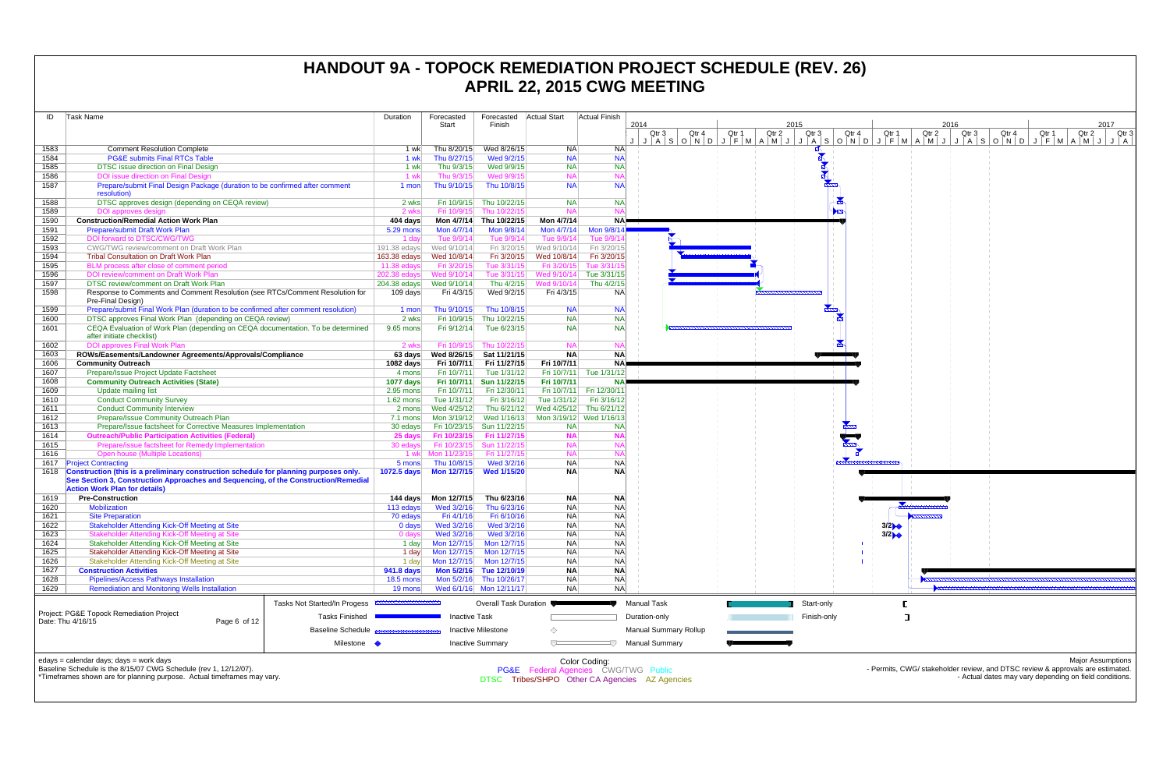| ID           | Task Name                                                                                                                   | <b>Duration</b>          | Forecasted<br>Start        | Forecasted<br>Finish                      | <b>Actual Start</b>        | Actual Finish                        | 2014                                           | 2015                    |                | 2016  |                |                                                                                | 2017                     |
|--------------|-----------------------------------------------------------------------------------------------------------------------------|--------------------------|----------------------------|-------------------------------------------|----------------------------|--------------------------------------|------------------------------------------------|-------------------------|----------------|-------|----------------|--------------------------------------------------------------------------------|--------------------------|
|              |                                                                                                                             |                          |                            |                                           |                            |                                      | Qtr 2<br>Qtr <sub>3</sub><br>Qtr 4<br>Qtr 1    | Qtr 3                   | Qtr 4<br>Qtr 1 | Qtr 2 | Qtr 3<br>Qtr 4 | Qtr 1                                                                          | Qtr 3<br>Qtr 2           |
|              |                                                                                                                             |                          |                            |                                           |                            |                                      | ASONDJFMAMJJJASONDJFMAMJJASONDJFMAMJJA         |                         |                |       |                |                                                                                |                          |
| 1583<br>1584 | <b>Comment Resolution Complete</b><br><b>PG&amp;E submits Final RTCs Table</b>                                              | 1 wk<br>1 wk             | Thu 8/20/15<br>Thu 8/27/15 | Wed 8/26/15<br>Wed 9/2/15                 | NA.<br><b>NA</b>           | <b>NA</b><br><b>NA</b>               |                                                |                         |                |       |                |                                                                                |                          |
| 1585         | <b>DTSC</b> issue direction on Final Design                                                                                 | 1 wk                     | Thu 9/3/15                 | Wed 9/9/15                                | <b>NA</b>                  | <b>NA</b>                            |                                                |                         |                |       |                |                                                                                |                          |
| 1586         | DOI issue direction on Final Design                                                                                         | 1 wk                     | Thu 9/3/15                 | Wed 9/9/15                                | <b>NA</b>                  |                                      |                                                |                         |                |       |                |                                                                                |                          |
| 1587         | Prepare/submit Final Design Package (duration to be confirmed after comment                                                 | 1 mon                    | Thu 9/10/15                | Thu 10/8/15                               | <b>NA</b>                  | <b>NA</b>                            |                                                |                         |                |       |                |                                                                                |                          |
|              | resolution)                                                                                                                 |                          |                            |                                           |                            |                                      |                                                |                         |                |       |                |                                                                                |                          |
| 1588         | DTSC approves design (depending on CEQA review)                                                                             | 2 wks                    | Fri 10/9/15                | Thu 10/22/15                              | <b>NA</b>                  | <b>NA</b>                            |                                                | $\blacktriangleright$   |                |       |                |                                                                                |                          |
| 1589<br>1590 | DOI approves design<br><b>Construction/Remedial Action Work Plan</b>                                                        | 2 wks<br>404 days        | Fri 10/9/15                | Thu 10/22/15<br>Mon 4/7/14 Thu 10/22/15   | <b>NA</b><br>Mon 4/7/14    | <b>NA</b>                            |                                                |                         |                |       |                |                                                                                |                          |
| 1591         | <b>Prepare/submit Draft Work Plan</b>                                                                                       | 5.29 mons                | Mon 4/7/14                 | Mon 9/8/14                                | Mon 4/7/14                 | Mon 9/8/1                            |                                                |                         |                |       |                |                                                                                |                          |
| 1592         | DOI forward to DTSC/CWG/TWG                                                                                                 | 1 dav                    | Tue 9/9/14                 | Tue 9/9/14                                | Tue 9/9/14                 | Tue $9/9/$                           |                                                |                         |                |       |                |                                                                                |                          |
| 1593         | CWG/TWG review/comment on Draft Work Plan                                                                                   | 191.38 edays             | Wed 9/10/14                | Fri 3/20/15                               | Wed 9/10/14                | Fri 3/20/15                          |                                                |                         |                |       |                |                                                                                |                          |
| 1594         | <b>Tribal Consultation on Draft Work Plan</b>                                                                               | 163.38 edays             | Wed 10/8/14                | Fri 3/20/15                               | Wed 10/8/14                | Fri 3/20/15                          |                                                |                         |                |       |                |                                                                                |                          |
| 1595         | BLM process after close of comment period                                                                                   | 11.38 edays              | Fri 3/20/15                | Tue 3/31/15                               | Fri 3/20/15                | Tue 3/31/1                           |                                                |                         |                |       |                |                                                                                |                          |
| 1596         | DOI review/comment on Draft Work Plan<br><b>DTSC review/comment on Draft Work Plan</b>                                      | 202.38 edays             | Wed 9/10/14                | Tue 3/31/15                               | Wed 9/10/14                | Tue 3/31/15                          |                                                |                         |                |       |                |                                                                                |                          |
| 1597<br>1598 | Response to Comments and Comment Resolution (see RTCs/Comment Resolution for                                                | 204.38 edays<br>109 days | Wed 9/10/14<br>Fri 4/3/15  | Thu 4/2/15<br>Wed 9/2/15                  | /Wed 9/10/14<br>Fri 4/3/15 | Thu 4/2/15<br><b>NA</b>              |                                                |                         |                |       |                |                                                                                |                          |
|              | Pre-Final Design)                                                                                                           |                          |                            |                                           |                            |                                      |                                                |                         |                |       |                |                                                                                |                          |
| 1599         | Prepare/submit Final Work Plan (duration to be confirmed after comment resolution)                                          | 1 mon                    | Thu 9/10/15                | Thu 10/8/15                               | <b>NA</b>                  | <b>NA</b>                            |                                                | $\overline{\mathbb{Z}}$ |                |       |                |                                                                                |                          |
| 1600         | DTSC approves Final Work Plan (depending on CEQA review)                                                                    | 2 wks                    | Fri 10/9/15                | Thu 10/22/15                              | <b>NA</b>                  | NA                                   |                                                |                         |                |       |                |                                                                                |                          |
| 1601         | CEQA Evaluation of Work Plan (depending on CEQA documentation. To be determined                                             | 9.65 mons                | Fri 9/12/14                | Tue 6/23/15                               | <b>NA</b>                  | <b>NA</b>                            |                                                |                         |                |       |                |                                                                                |                          |
|              | after initiate checklist)                                                                                                   |                          |                            |                                           | <b>NA</b>                  |                                      |                                                |                         |                |       |                |                                                                                |                          |
| 1602<br>1603 | <b>DOI approves Final Work Plan</b><br>ROWs/Easements/Landowner Agreements/Approvals/Compliance                             | 2 wks<br>63 days         | Fri 10/9/15                | Thu 10/22/15<br>Wed 8/26/15 Sat 11/21/15  | <b>NA</b>                  | <b>NA</b>                            |                                                |                         |                |       |                |                                                                                |                          |
| 1606         | <b>Community Outreach</b>                                                                                                   | 1082 days                | Fri 10/7/11                | Fri 11/27/15                              | Fri 10/7/11                | <b>NA</b>                            |                                                |                         |                |       |                |                                                                                |                          |
| 1607         | Prepare/Issue Project Update Factsheet                                                                                      | 4 mons                   | Fri 10/7/11                | Tue 1/31/12                               | Fri 10/7/11                | Tue 1/31/12                          |                                                |                         |                |       |                |                                                                                |                          |
| 1608         | <b>Community Outreach Activities (State)</b>                                                                                | 1077 days                | Fri 10/7/11                | Sun 11/22/15                              | Fri 10/7/11                |                                      |                                                |                         |                |       |                |                                                                                |                          |
| 1609         | Update mailing list                                                                                                         | $2.95$ mons              | Fri 10/7/11                | Fri 12/30/11                              |                            | Fri 10/7/11 Fri 12/30/1              |                                                |                         |                |       |                |                                                                                |                          |
| 1610         | <b>Conduct Community Survey</b>                                                                                             | $1.62$ mons              | Tue 1/31/12                | Fri 3/16/12                               | Tue 1/31/12                | Fri 3/16/12                          |                                                |                         |                |       |                |                                                                                |                          |
| 1611         | <b>Conduct Community Interview</b>                                                                                          | 2 mons                   | Wed 4/25/12                | Thu 6/21/12                               | Wed 4/25/12                | Thu 6/21/12                          |                                                |                         |                |       |                |                                                                                |                          |
| 1612         | Prepare/Issue Community Outreach Plan<br>Prepare/Issue factsheet for Corrective Measures Implementation                     | 7.1 mons                 | Mon 3/19/12                | Wed 1/16/13                               |                            | Mon 3/19/12 Wed 1/16/13              |                                                |                         |                |       |                |                                                                                |                          |
| 1613<br>1614 | <b>Outreach/Public Participation Activities (Federal)</b>                                                                   | 30 edays<br>25 days      | Fri 10/23/15               | Fri 10/23/15 Sun 11/22/15<br>Fri 11/27/15 | <b>NA</b><br><b>NA</b>     | <b>NA</b>                            |                                                |                         |                |       |                |                                                                                |                          |
| 1615         | Prepare/issue factsheet for Remedy Implementation                                                                           | 30 edays                 |                            | Fri 10/23/15 Sun 11/22/15                 | <b>NA</b>                  |                                      |                                                |                         |                |       |                |                                                                                |                          |
| 1616         | <b>Open house (Multiple Locations)</b>                                                                                      |                          | 1 wk Mon 11/23/15          | Fri 11/27/15                              | <b>NA</b>                  |                                      |                                                |                         |                |       |                |                                                                                |                          |
|              | 1617 Project Contracting                                                                                                    | 5 mons                   | Thu 10/8/15                | Wed 3/2/16                                | <b>NA</b>                  | <b>NA</b>                            |                                                |                         |                |       |                |                                                                                |                          |
|              | 1618 Construction (this is a preliminary construction schedule for planning purposes only.                                  | <b>1072.5 days</b>       | <b>Mon 12/7/15</b>         | <b>Wed 1/15/20</b>                        | <b>NA</b>                  | <b>NA</b>                            |                                                |                         |                |       |                |                                                                                |                          |
|              | See Section 3, Construction Approaches and Sequencing, of the Construction/Remedial<br><b>Action Work Plan for details)</b> |                          |                            |                                           |                            |                                      |                                                |                         |                |       |                |                                                                                |                          |
| 1619         | <b>Pre-Construction</b>                                                                                                     | 144 days                 | Mon 12/7/15                | Thu 6/23/16                               | <b>NA</b>                  | <b>NA</b>                            |                                                |                         |                |       |                |                                                                                |                          |
| 1620         | <b>Mobilization</b>                                                                                                         | 113 edays                | Wed 3/2/16                 | Thu 6/23/16                               | <b>NA</b>                  | <b>NA</b>                            |                                                |                         |                |       |                |                                                                                |                          |
| 1621         | <b>Site Preparation</b>                                                                                                     | 70 edays                 | Fri 4/1/16                 | Fri 6/10/16                               | NA.                        | <b>NA</b>                            |                                                |                         |                |       |                |                                                                                |                          |
| 1622         | Stakeholder Attending Kick-Off Meeting at Site<br>Stakeholder Attending Kick-Off Meeting at Site                            | 0 days                   | Wed 3/2/16                 | Wed 3/2/16                                | <b>NA</b>                  | <b>NA</b>                            |                                                |                         | 3/2            |       |                |                                                                                |                          |
| 1623         |                                                                                                                             | 0 days                   | Wed 3/2/16                 | Wed 3/2/16                                | NA.                        | NA                                   |                                                |                         | 3/2            |       |                |                                                                                |                          |
| 1624         | Stakeholder Attending Kick-Off Meeting at Site                                                                              | 1 day                    | Mon 12/7/15                | Mon 12/7/15                               | <b>NA</b>                  | NA                                   |                                                |                         |                |       |                |                                                                                |                          |
| 1625<br>1626 | Stakeholder Attending Kick-Off Meeting at Site<br>Stakeholder Attending Kick-Off Meeting at Site                            | 1 day<br>1 day           | Mon 12/7/15<br>Mon 12/7/15 | Mon 12/7/15<br>Mon 12/7/15                | <b>NA</b><br><b>NA</b>     | <b>NA</b><br>N <sub>A</sub>          |                                                |                         |                |       |                |                                                                                |                          |
| 1627         | <b>Construction Activities</b>                                                                                              | 941.8 days               |                            | Mon 5/2/16 Tue 12/10/19                   | <b>NA</b>                  | <b>NA</b>                            |                                                |                         |                |       |                |                                                                                |                          |
| 1628         | <b>Pipelines/Access Pathways Installation</b>                                                                               | <b>18.5 mons</b>         |                            | Mon 5/2/16 Thu 10/26/17                   | NA                         | NA                                   |                                                |                         |                |       |                |                                                                                |                          |
| 1629         | <b>Remediation and Monitoring Wells Installation</b>                                                                        | 19 mons                  |                            | Wed 6/1/16 Mon 12/11/17                   | <b>NA</b>                  | NA                                   |                                                |                         |                |       |                |                                                                                |                          |
|              | Tasks Not Started/In Progess <b>EXAMPLE DETAILS</b>                                                                         |                          |                            | <b>Overall Task Duration</b>              |                            |                                      | <b>Manual Task</b>                             | Start-only              |                |       |                |                                                                                |                          |
|              | Project: PG&E Topock Remediation Project                                                                                    |                          |                            |                                           |                            |                                      |                                                |                         |                |       |                |                                                                                |                          |
|              | <b>Tasks Finished</b><br>Date: Thu 4/16/15<br>Page 6 of 12                                                                  |                          | <b>Inactive Task</b>       |                                           |                            |                                      | Duration-only                                  | Finish-only             | ᄀ              |       |                |                                                                                |                          |
|              | <b>Baseline Schedule</b>                                                                                                    |                          |                            | <b>Inactive Milestone</b>                 | ♦                          |                                      | Manual Summary Rollup                          |                         |                |       |                |                                                                                |                          |
|              | Milestone •                                                                                                                 |                          |                            | <b>Inactive Summary</b>                   | $\overline{ }$             |                                      | <b>Manual Summary</b>                          |                         |                |       |                |                                                                                |                          |
|              |                                                                                                                             |                          |                            |                                           |                            |                                      |                                                |                         |                |       |                |                                                                                |                          |
|              | edays = calendar days; days = work days<br>Baseline Schedule is the 8/15/07 CWG Schedule (rev 1, 12/12/07).                 |                          |                            |                                           |                            | Color Coding:                        |                                                |                         |                |       |                | - Permits, CWG/ stakeholder review, and DTSC review & approvals are estimated. | <b>Major Assumptions</b> |
|              | *Timeframes shown are for planning purpose. Actual timeframes may vary.                                                     |                          |                            |                                           |                            | PG&E Federal Agencies CWG/TWG Public | DTSC Tribes/SHPO Other CA Agencies AZ Agencies |                         |                |       |                | - Actual dates may vary depending on field conditions.                         |                          |
|              |                                                                                                                             |                          |                            |                                           |                            |                                      |                                                |                         |                |       |                |                                                                                |                          |